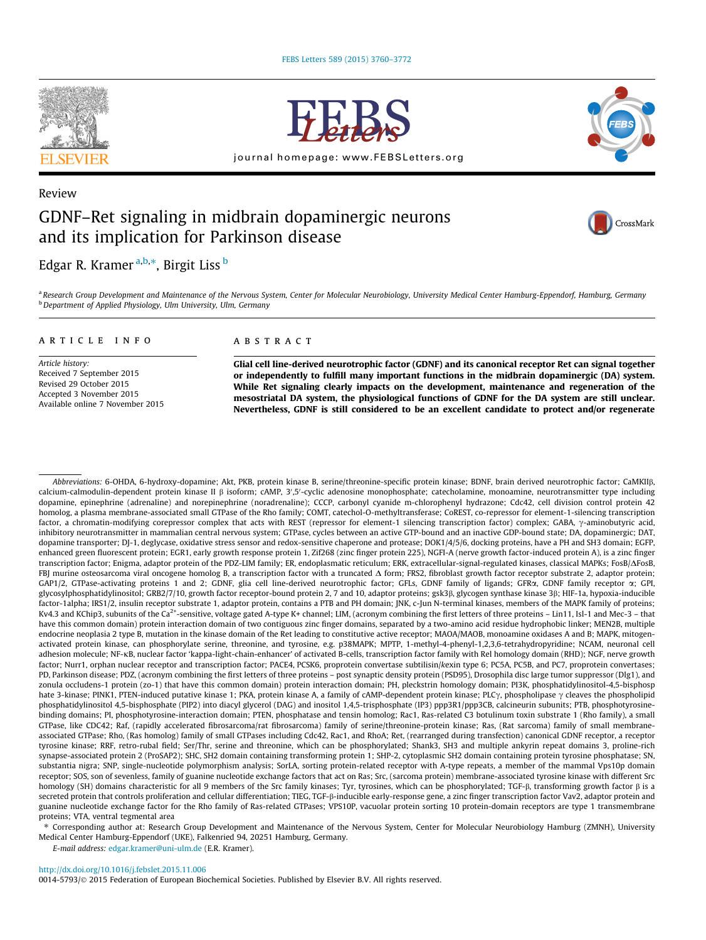

Review



journal homepage: [www.FEBSLetters.org](http://www.FEBSLetters.org)



# GDNF–Ret signaling in midbrain dopaminergic neurons and its implication for Parkinson disease



Edgar R. Kramer <sup>a,b,</sup>\*, Birgit Liss <sup>b</sup>

a Research Group Development and Maintenance of the Nervous System, Center for Molecular Neurobiology, University Medical Center Hamburg-Eppendorf, Hamburg, Germany **b** Department of Applied Physiology, Ulm University, Ulm, Germany

### article info

Article history: Received 7 September 2015 Revised 29 October 2015 Accepted 3 November 2015 Available online 7 November 2015

### ABSTRACT

Glial cell line-derived neurotrophic factor (GDNF) and its canonical receptor Ret can signal together or independently to fulfill many important functions in the midbrain dopaminergic (DA) system. While Ret signaling clearly impacts on the development, maintenance and regeneration of the mesostriatal DA system, the physiological functions of GDNF for the DA system are still unclear. Nevertheless, GDNF is still considered to be an excellent candidate to protect and/or regenerate

Abbreviations: 6-OHDA, 6-hydroxy-dopamine; Akt, PKB, protein kinase B, serine/threonine-specific protein kinase; BDNF, brain derived neurotrophic factor; CaMKIIb, calcium-calmodulin-dependent protein kinase II β isoform; cAMP, 3',5'-cyclic adenosine monophosphate; catecholamine, monoamine, neurotransmitter type including dopamine, epinephrine (adrenaline) and norepinephrine (noradrenaline); CCCP, carbonyl cyanide m-chlorophenyl hydrazone; Cdc42, cell division control protein 42 homolog, a plasma membrane-associated small GTPase of the Rho family; COMT, catechol-O-methyltransferase; CoREST, co-repressor for element-1-silencing transcription factor, a chromatin-modifying corepressor complex that acts with REST (repressor for element-1 silencing transcription factor) complex; GABA,  $\gamma$ -aminobutyric acid, inhibitory neurotransmitter in mammalian central nervous system; GTPase, cycles between an active GTP-bound and an inactive GDP-bound state; DA, dopaminergic; DAT, dopamine transporter; DJ-1, deglycase, oxidative stress sensor and redox-sensitive chaperone and protease; DOK1/4/5/6, docking proteins, have a PH and SH3 domain; EGFP, enhanced green fluorescent protein; EGR1, early growth response protein 1, Zif268 (zinc finger protein 225), NGFI-A (nerve growth factor-induced protein A), is a zinc finger transcription factor; Enigma, adaptor protein of the PDZ-LIM family; ER, endoplasmatic reticulum; ERK, extracellular-signal-regulated kinases, classical MAPKs; FosB/ $\Delta$ FosB, FBJ murine osteosarcoma viral oncogene homolog B, a transcription factor with a truncated  $\Delta$  form; FRS2, fibroblast growth factor receptor substrate 2, adaptor protein; GAP1/2, GTPase-activating proteins 1 and 2; GDNF, glia cell line-derived neurotrophic factor; GFLs, GDNF family of ligands; GFRa, GDNF family receptor  $\alpha$ ; GPI, glycosylphosphatidylinositol; GRB2/7/10, growth factor receptor-bound protein 2, 7 and 10, adaptor proteins; gsk3b, glycogen synthase kinase 3b; HIF-1a, hypoxia-inducible factor-1alpha; IRS1/2, insulin receptor substrate 1, adaptor protein, contains a PTB and PH domain; JNK, c-Jun N-terminal kinases, members of the MAPK family of proteins; Kv4.3 and KChip3, subunits of the Ca<sup>2+</sup>-sensitive, voltage gated A-type K+ channel; LIM, (acronym combining the first letters of three proteins – Lin11, Isl-1 and Mec-3 – that have this common domain) protein interaction domain of two contiguous zinc finger domains, separated by a two-amino acid residue hydrophobic linker; MEN2B, multiple endocrine neoplasia 2 type B, mutation in the kinase domain of the Ret leading to constitutive active receptor; MAOA/MAOB, monoamine oxidases A and B; MAPK, mitogenactivated protein kinase, can phosphorylate serine, threonine, and tyrosine, e.g. p38MAPK; MPTP, 1-methyl-4-phenyl-1,2,3,6-tetrahydropyridine; NCAM, neuronal cell adhesion molecule; NF-KB, nuclear factor 'kappa-light-chain-enhancer' of activated B-cells, transcription factor family with Rel homology domain (RHD); NGF, nerve growth factor; Nurr1, orphan nuclear receptor and transcription factor; PACE4, PCSK6, proprotein convertases intilisin/kexin type 6; PC5A, PC5B, and PC7, proprotein convertases; PD, Parkinson disease; PDZ, (acronym combining the first letters of three proteins – post synaptic density protein (PSD95), Drosophila disc large tumor suppressor (Dlg1), and zonula occludens-1 protein (zo-1) that have this common domain) protein interaction domain; PH, pleckstrin homology domain; PI3K, phosphatidylinositol-4,5-bisphosp hate 3-kinase; PINK1, PTEN-induced putative kinase 1; PKA, protein kinase A, a family of cAMP-dependent protein kinase; PLC $\gamma$ , phospholipase  $\gamma$  cleaves the phospholipid phosphatidylinositol 4,5-bisphosphate (PIP2) into diacyl glycerol (DAG) and inositol 1,4,5-trisphosphate (IP3) ppp3R1/ppp3CB, calcineurin subunits; PTB, phosphotyrosinebinding domains; PI, phosphotyrosine-interaction domain; PTEN, phosphatase and tensin homolog; Rac1, Ras-related C3 botulinum toxin substrate 1 (Rho family), a small GTPase, like CDC42; Raf, (rapidly accelerated fibrosarcoma/rat fibrosarcoma) family of serine/threonine-protein kinase; Ras, (Rat sarcoma) family of small membraneassociated GTPase; Rho, (Ras homolog) family of small GTPases including Cdc42, Rac1, and RhoA; Ret, (rearranged during transfection) canonical GDNF receptor, a receptor tyrosine kinase; RRF, retro-rubal field; Ser/Thr, serine and threonine, which can be phosphorylated; Shank3, SH3 and multiple ankyrin repeat domains 3, proline-rich synapse-associated protein 2 (ProSAP2); SHC, SH2 domain containing transforming protein 1; SHP-2, cytoplasmic SH2 domain containing protein tyrosine phosphatase; SN, substantia nigra; SNP, single-nucleotide polymorphism analysis; SorLA, sorting protein-related receptor with A-type repeats, a member of the mammal Vps10p domain receptor; SOS, son of sevenless, family of guanine nucleotide exchange factors that act on Ras; Src, (sarcoma protein) membrane-associated tyrosine kinase with different Src homology (SH) domains characteristic for all 9 members of the Src family kinases; Tyr, tyrosines, which can be phosphorylated; TGF-B, transforming growth factor  $\beta$  is a secreted protein that controls proliferation and cellular differentiation; TIEG, TGF-ß-inducible early-response gene, a zinc finger transcription factor Vav2, adaptor protein and guanine nucleotide exchange factor for the Rho family of Ras-related GTPases; VPS10P, vacuolar protein sorting 10 protein-domain receptors are type 1 transmembrane proteins; VTA, ventral tegmental area

⇑ Corresponding author at: Research Group Development and Maintenance of the Nervous System, Center for Molecular Neurobiology Hamburg (ZMNH), University Medical Center Hamburg-Eppendorf (UKE), Falkenried 94, 20251 Hamburg, Germany.

E-mail address: [edgar.kramer@uni-ulm.de](mailto:edgar.kramer@uni-ulm.de) (E.R. Kramer).

#### <http://dx.doi.org/10.1016/j.febslet.2015.11.006>

0014-5793/@ 2015 Federation of European Biochemical Societies. Published by Elsevier B.V. All rights reserved.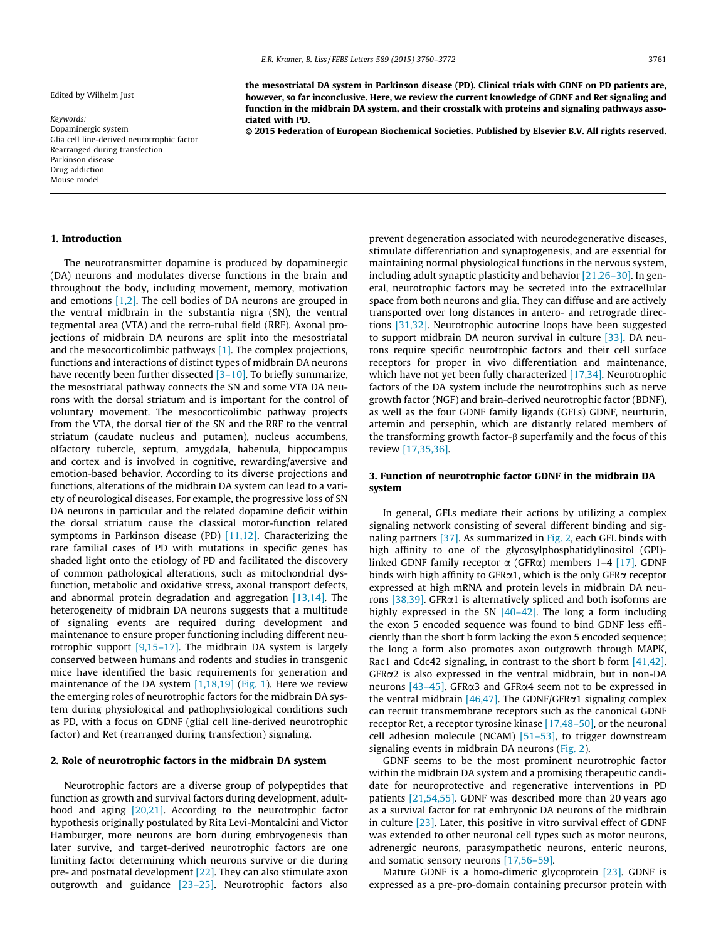Edited by Wilhelm Just

Keywords: Dopaminergic system Glia cell line-derived neurotrophic factor Rearranged during transfection Parkinson disease Drug addiction Mouse model

## 1. Introduction

The neurotransmitter dopamine is produced by dopaminergic (DA) neurons and modulates diverse functions in the brain and throughout the body, including movement, memory, motivation and emotions  $[1,2]$ . The cell bodies of DA neurons are grouped in the ventral midbrain in the substantia nigra (SN), the ventral tegmental area (VTA) and the retro-rubal field (RRF). Axonal projections of midbrain DA neurons are split into the mesostriatal and the mesocorticolimbic pathways [\[1\].](#page-8-0) The complex projections, functions and interactions of distinct types of midbrain DA neurons have recently been further dissected  $[3-10]$ . To briefly summarize, the mesostriatal pathway connects the SN and some VTA DA neurons with the dorsal striatum and is important for the control of voluntary movement. The mesocorticolimbic pathway projects from the VTA, the dorsal tier of the SN and the RRF to the ventral striatum (caudate nucleus and putamen), nucleus accumbens, olfactory tubercle, septum, amygdala, habenula, hippocampus and cortex and is involved in cognitive, rewarding/aversive and emotion-based behavior. According to its diverse projections and functions, alterations of the midbrain DA system can lead to a variety of neurological diseases. For example, the progressive loss of SN DA neurons in particular and the related dopamine deficit within the dorsal striatum cause the classical motor-function related symptoms in Parkinson disease (PD) [\[11,12\].](#page-8-0) Characterizing the rare familial cases of PD with mutations in specific genes has shaded light onto the etiology of PD and facilitated the discovery of common pathological alterations, such as mitochondrial dysfunction, metabolic and oxidative stress, axonal transport defects, and abnormal protein degradation and aggregation  $[13,14]$ . The heterogeneity of midbrain DA neurons suggests that a multitude of signaling events are required during development and maintenance to ensure proper functioning including different neurotrophic support  $[9,15-17]$ . The midbrain DA system is largely conserved between humans and rodents and studies in transgenic mice have identified the basic requirements for generation and maintenance of the DA system [\[1,18,19\]](#page-8-0) ([Fig. 1\)](#page-2-0). Here we review the emerging roles of neurotrophic factors for the midbrain DA system during physiological and pathophysiological conditions such as PD, with a focus on GDNF (glial cell line-derived neurotrophic factor) and Ret (rearranged during transfection) signaling.

#### 2. Role of neurotrophic factors in the midbrain DA system

Neurotrophic factors are a diverse group of polypeptides that function as growth and survival factors during development, adulthood and aging [\[20,21\].](#page-8-0) According to the neurotrophic factor hypothesis originally postulated by Rita Levi-Montalcini and Victor Hamburger, more neurons are born during embryogenesis than later survive, and target-derived neurotrophic factors are one limiting factor determining which neurons survive or die during pre- and postnatal development [\[22\].](#page-8-0) They can also stimulate axon outgrowth and guidance [\[23–25\].](#page-8-0) Neurotrophic factors also

2015 Federation of European Biochemical Societies. Published by Elsevier B.V. All rights reserved.

prevent degeneration associated with neurodegenerative diseases, stimulate differentiation and synaptogenesis, and are essential for maintaining normal physiological functions in the nervous system, including adult synaptic plasticity and behavior [\[21,26–30\]](#page-8-0). In general, neurotrophic factors may be secreted into the extracellular space from both neurons and glia. They can diffuse and are actively transported over long distances in antero- and retrograde directions [\[31,32\].](#page-8-0) Neurotrophic autocrine loops have been suggested to support midbrain DA neuron survival in culture [\[33\].](#page-8-0) DA neurons require specific neurotrophic factors and their cell surface receptors for proper in vivo differentiation and maintenance, which have not yet been fully characterized [\[17,34\].](#page-8-0) Neurotrophic factors of the DA system include the neurotrophins such as nerve growth factor (NGF) and brain-derived neurotrophic factor (BDNF), as well as the four GDNF family ligands (GFLs) GDNF, neurturin, artemin and persephin, which are distantly related members of the transforming growth factor- $\beta$  superfamily and the focus of this review [\[17,35,36\]](#page-8-0).

## 3. Function of neurotrophic factor GDNF in the midbrain DA system

In general, GFLs mediate their actions by utilizing a complex signaling network consisting of several different binding and signaling partners [\[37\].](#page-8-0) As summarized in [Fig. 2,](#page-2-0) each GFL binds with high affinity to one of the glycosylphosphatidylinositol (GPI) linked GDNF family receptor  $\alpha$  (GFR $\alpha$ ) members 1–4 [\[17\]](#page-8-0). GDNF binds with high affinity to GFR $\alpha$ 1, which is the only GFR $\alpha$  receptor expressed at high mRNA and protein levels in midbrain DA neu-rons [\[38,39\].](#page-8-0) GFR $\alpha$ 1 is alternatively spliced and both isoforms are highly expressed in the SN  $[40-42]$ . The long a form including the exon 5 encoded sequence was found to bind GDNF less efficiently than the short b form lacking the exon 5 encoded sequence; the long a form also promotes axon outgrowth through MAPK, Rac1 and Cdc42 signaling, in contrast to the short b form [\[41,42\].](#page-9-0) GFRa2 is also expressed in the ventral midbrain, but in non-DA neurons  $[43-45]$ . GFR $\alpha$ 3 and GFR $\alpha$ 4 seem not to be expressed in the ventral midbrain [\[46,47\]](#page-9-0). The GDNF/GFR $\alpha$ 1 signaling complex can recruit transmembrane receptors such as the canonical GDNF receptor Ret, a receptor tyrosine kinase [\[17,48–50\],](#page-8-0) or the neuronal cell adhesion molecule (NCAM)  $[51-53]$ , to trigger downstream signaling events in midbrain DA neurons ([Fig. 2](#page-2-0)).

GDNF seems to be the most prominent neurotrophic factor within the midbrain DA system and a promising therapeutic candidate for neuroprotective and regenerative interventions in PD patients [\[21,54,55\].](#page-8-0) GDNF was described more than 20 years ago as a survival factor for rat embryonic DA neurons of the midbrain in culture [\[23\].](#page-8-0) Later, this positive in vitro survival effect of GDNF was extended to other neuronal cell types such as motor neurons, adrenergic neurons, parasympathetic neurons, enteric neurons, and somatic sensory neurons [\[17,56–59\]](#page-8-0).

Mature GDNF is a homo-dimeric glycoprotein [\[23\]](#page-8-0). GDNF is expressed as a pre-pro-domain containing precursor protein with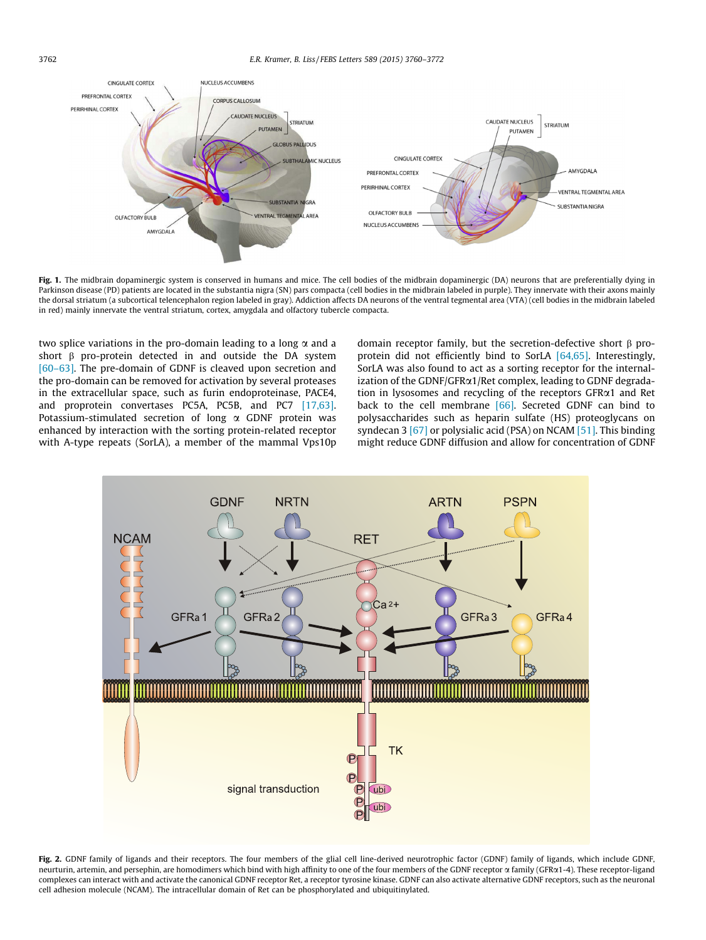<span id="page-2-0"></span>

Fig. 1. The midbrain dopaminergic system is conserved in humans and mice. The cell bodies of the midbrain dopaminergic (DA) neurons that are preferentially dying in Parkinson disease (PD) patients are located in the substantia nigra (SN) pars compacta (cell bodies in the midbrain labeled in purple). They innervate with their axons mainly the dorsal striatum (a subcortical telencephalon region labeled in gray). Addiction affects DA neurons of the ventral tegmental area (VTA) (cell bodies in the midbrain labeled in red) mainly innervate the ventral striatum, cortex, amygdala and olfactory tubercle compacta.

two splice variations in the pro-domain leading to a long  $\alpha$  and a short  $\beta$  pro-protein detected in and outside the DA system [\[60–63\]](#page-9-0). The pre-domain of GDNF is cleaved upon secretion and the pro-domain can be removed for activation by several proteases in the extracellular space, such as furin endoproteinase, PACE4, and proprotein convertases PC5A, PC5B, and PC7 [\[17,63\].](#page-8-0) Potassium-stimulated secretion of long  $\alpha$  GDNF protein was enhanced by interaction with the sorting protein-related receptor with A-type repeats (SorLA), a member of the mammal Vps10p domain receptor family, but the secretion-defective short  $\beta$  proprotein did not efficiently bind to SorLA [\[64,65\].](#page-9-0) Interestingly, SorLA was also found to act as a sorting receptor for the internalization of the GDNF/GFRa1/Ret complex, leading to GDNF degradation in lysosomes and recycling of the receptors GFRa1 and Ret back to the cell membrane [\[66\].](#page-9-0) Secreted GDNF can bind to polysaccharides such as heparin sulfate (HS) proteoglycans on syndecan 3 [\[67\]](#page-9-0) or polysialic acid (PSA) on NCAM [\[51\].](#page-9-0) This binding might reduce GDNF diffusion and allow for concentration of GDNF



Fig. 2. GDNF family of ligands and their receptors. The four members of the glial cell line-derived neurotrophic factor (GDNF) family of ligands, which include GDNF, neurturin, artemin, and persephin, are homodimers which bind with high affinity to one of the four members of the GDNF receptor a family (GFRa1-4). These receptor-ligand complexes can interact with and activate the canonical GDNF receptor Ret, a receptor tyrosine kinase. GDNF can also activate alternative GDNF receptors, such as the neuronal cell adhesion molecule (NCAM). The intracellular domain of Ret can be phosphorylated and ubiquitinylated.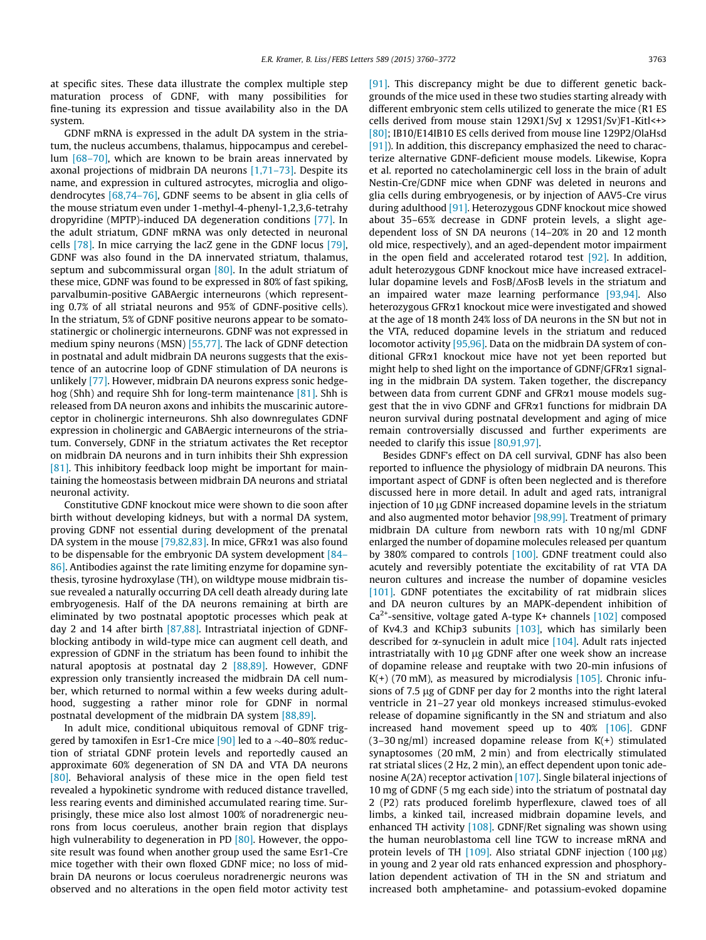at specific sites. These data illustrate the complex multiple step maturation process of GDNF, with many possibilities for fine-tuning its expression and tissue availability also in the DA system.

GDNF mRNA is expressed in the adult DA system in the striatum, the nucleus accumbens, thalamus, hippocampus and cerebellum [\[68–70\],](#page-9-0) which are known to be brain areas innervated by axonal projections of midbrain DA neurons [\[1,71–73\].](#page-8-0) Despite its name, and expression in cultured astrocytes, microglia and oligodendrocytes [\[68,74–76\],](#page-9-0) GDNF seems to be absent in glia cells of the mouse striatum even under 1-methyl-4-phenyl-1,2,3,6-tetrahy dropyridine (MPTP)-induced DA degeneration conditions [\[77\].](#page-9-0) In the adult striatum, GDNF mRNA was only detected in neuronal cells [\[78\].](#page-9-0) In mice carrying the lacZ gene in the GDNF locus [\[79\],](#page-9-0) GDNF was also found in the DA innervated striatum, thalamus, septum and subcommissural organ [\[80\]](#page-9-0). In the adult striatum of these mice, GDNF was found to be expressed in 80% of fast spiking, parvalbumin-positive GABAergic interneurons (which representing 0.7% of all striatal neurons and 95% of GDNF-positive cells). In the striatum, 5% of GDNF positive neurons appear to be somatostatinergic or cholinergic interneurons. GDNF was not expressed in medium spiny neurons (MSN) [\[55,77\].](#page-9-0) The lack of GDNF detection in postnatal and adult midbrain DA neurons suggests that the existence of an autocrine loop of GDNF stimulation of DA neurons is unlikely [\[77\].](#page-9-0) However, midbrain DA neurons express sonic hedgehog (Shh) and require Shh for long-term maintenance [\[81\]](#page-9-0). Shh is released from DA neuron axons and inhibits the muscarinic autoreceptor in cholinergic interneurons. Shh also downregulates GDNF expression in cholinergic and GABAergic interneurons of the striatum. Conversely, GDNF in the striatum activates the Ret receptor on midbrain DA neurons and in turn inhibits their Shh expression [\[81\].](#page-9-0) This inhibitory feedback loop might be important for maintaining the homeostasis between midbrain DA neurons and striatal neuronal activity.

Constitutive GDNF knockout mice were shown to die soon after birth without developing kidneys, but with a normal DA system, proving GDNF not essential during development of the prenatal DA system in the mouse  $[79,82,83]$ . In mice, GFR $\alpha$ 1 was also found to be dispensable for the embryonic DA system development [\[84–](#page-9-0) [86\]](#page-9-0). Antibodies against the rate limiting enzyme for dopamine synthesis, tyrosine hydroxylase (TH), on wildtype mouse midbrain tissue revealed a naturally occurring DA cell death already during late embryogenesis. Half of the DA neurons remaining at birth are eliminated by two postnatal apoptotic processes which peak at day 2 and 14 after birth [\[87,88\].](#page-9-0) Intrastriatal injection of GDNFblocking antibody in wild-type mice can augment cell death, and expression of GDNF in the striatum has been found to inhibit the natural apoptosis at postnatal day 2 [\[88,89\].](#page-9-0) However, GDNF expression only transiently increased the midbrain DA cell number, which returned to normal within a few weeks during adulthood, suggesting a rather minor role for GDNF in normal postnatal development of the midbrain DA system [\[88,89\].](#page-9-0)

In adult mice, conditional ubiquitous removal of GDNF triggered by tamoxifen in Esr1-Cre mice  $[90]$  led to a  $\sim$ 40–80% reduction of striatal GDNF protein levels and reportedly caused an approximate 60% degeneration of SN DA and VTA DA neurons [\[80\].](#page-9-0) Behavioral analysis of these mice in the open field test revealed a hypokinetic syndrome with reduced distance travelled, less rearing events and diminished accumulated rearing time. Surprisingly, these mice also lost almost 100% of noradrenergic neurons from locus coeruleus, another brain region that displays high vulnerability to degeneration in PD [\[80\].](#page-9-0) However, the opposite result was found when another group used the same Esr1-Cre mice together with their own floxed GDNF mice; no loss of midbrain DA neurons or locus coeruleus noradrenergic neurons was observed and no alterations in the open field motor activity test [\[91\]](#page-9-0). This discrepancy might be due to different genetic backgrounds of the mice used in these two studies starting already with different embryonic stem cells utilized to generate the mice (R1 ES cells derived from mouse stain 129X1/SvJ x 129S1/Sv)F1-Kitl<+> [\[80\];](#page-9-0) IB10/E14IB10 ES cells derived from mouse line 129P2/OlaHsd  $[91]$ ). In addition, this discrepancy emphasized the need to characterize alternative GDNF-deficient mouse models. Likewise, Kopra et al. reported no catecholaminergic cell loss in the brain of adult Nestin-Cre/GDNF mice when GDNF was deleted in neurons and glia cells during embryogenesis, or by injection of AAV5-Cre virus during adulthood [\[91\]](#page-9-0). Heterozygous GDNF knockout mice showed about 35–65% decrease in GDNF protein levels, a slight agedependent loss of SN DA neurons (14–20% in 20 and 12 month old mice, respectively), and an aged-dependent motor impairment in the open field and accelerated rotarod test [\[92\].](#page-9-0) In addition, adult heterozygous GDNF knockout mice have increased extracellular dopamine levels and  $F$ osB/ $\Delta$ FosB levels in the striatum and an impaired water maze learning performance [\[93,94\].](#page-9-0) Also heterozygous GFRa1 knockout mice were investigated and showed at the age of 18 month 24% loss of DA neurons in the SN but not in the VTA, reduced dopamine levels in the striatum and reduced locomotor activity [\[95,96\]](#page-9-0). Data on the midbrain DA system of conditional GFRa1 knockout mice have not yet been reported but might help to shed light on the importance of GDNF/GFRa1 signaling in the midbrain DA system. Taken together, the discrepancy between data from current GDNF and GFR $\alpha$ 1 mouse models suggest that the in vivo GDNF and GFR $\alpha$ 1 functions for midbrain DA neuron survival during postnatal development and aging of mice remain controversially discussed and further experiments are needed to clarify this issue [\[80,91,97\].](#page-9-0)

Besides GDNF's effect on DA cell survival, GDNF has also been reported to influence the physiology of midbrain DA neurons. This important aspect of GDNF is often been neglected and is therefore discussed here in more detail. In adult and aged rats, intranigral injection of 10 µg GDNF increased dopamine levels in the striatum and also augmented motor behavior [\[98,99\]](#page-10-0). Treatment of primary midbrain DA culture from newborn rats with 10 ng/ml GDNF enlarged the number of dopamine molecules released per quantum by 380% compared to controls [\[100\]](#page-10-0). GDNF treatment could also acutely and reversibly potentiate the excitability of rat VTA DA neuron cultures and increase the number of dopamine vesicles [\[101\].](#page-10-0) GDNF potentiates the excitability of rat midbrain slices and DA neuron cultures by an MAPK-dependent inhibition of  $Ca<sup>2+</sup>$ -sensitive, voltage gated A-type K+ channels [\[102\]](#page-10-0) composed of Kv4.3 and KChip3 subunits [\[103\],](#page-10-0) which has similarly been described for  $\alpha$ -synuclein in adult mice [\[104\]](#page-10-0). Adult rats injected intrastriatally with 10 µg GDNF after one week show an increase of dopamine release and reuptake with two 20-min infusions of  $K(+)$  (70 mM), as measured by microdialysis [\[105\]](#page-10-0). Chronic infusions of 7.5 µg of GDNF per day for 2 months into the right lateral ventricle in 21–27 year old monkeys increased stimulus-evoked release of dopamine significantly in the SN and striatum and also increased hand movement speed up to 40% [\[106\].](#page-10-0) GDNF (3–30 ng/ml) increased dopamine release from K(+) stimulated synaptosomes (20 mM, 2 min) and from electrically stimulated rat striatal slices (2 Hz, 2 min), an effect dependent upon tonic ade-nosine A(2A) receptor activation [\[107\].](#page-10-0) Single bilateral injections of 10 mg of GDNF (5 mg each side) into the striatum of postnatal day 2 (P2) rats produced forelimb hyperflexure, clawed toes of all limbs, a kinked tail, increased midbrain dopamine levels, and enhanced TH activity [\[108\]](#page-10-0). GDNF/Ret signaling was shown using the human neuroblastoma cell line TGW to increase mRNA and protein levels of TH  $[109]$ . Also striatal GDNF injection  $(100 \mu g)$ in young and 2 year old rats enhanced expression and phosphorylation dependent activation of TH in the SN and striatum and increased both amphetamine- and potassium-evoked dopamine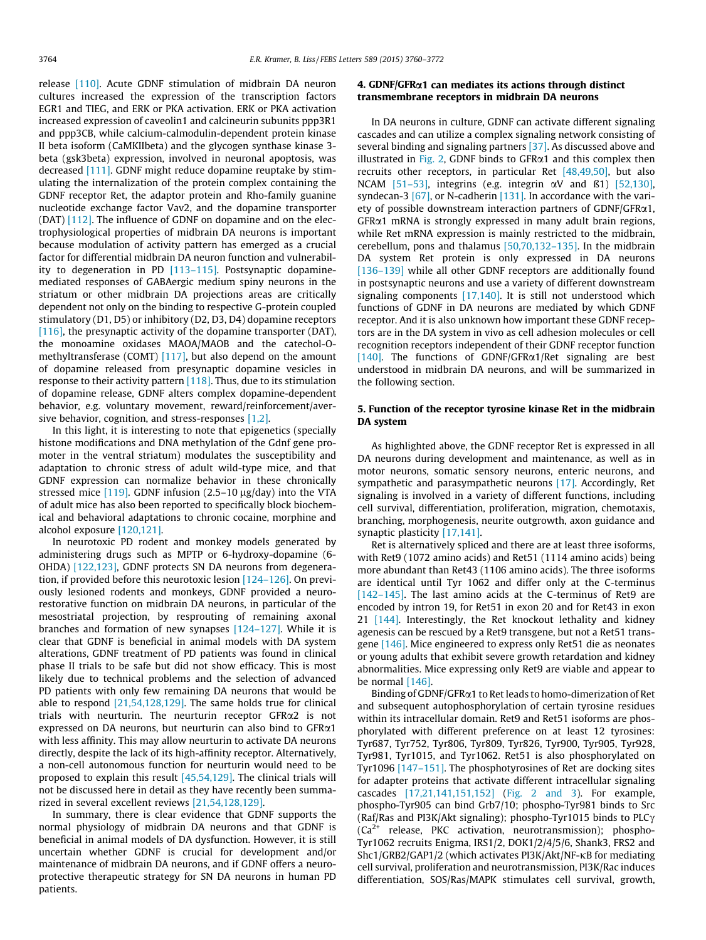release [\[110\].](#page-10-0) Acute GDNF stimulation of midbrain DA neuron cultures increased the expression of the transcription factors EGR1 and TIEG, and ERK or PKA activation. ERK or PKA activation increased expression of caveolin1 and calcineurin subunits ppp3R1 and ppp3CB, while calcium-calmodulin-dependent protein kinase II beta isoform (CaMKIIbeta) and the glycogen synthase kinase 3 beta (gsk3beta) expression, involved in neuronal apoptosis, was decreased [\[111\]](#page-10-0). GDNF might reduce dopamine reuptake by stimulating the internalization of the protein complex containing the GDNF receptor Ret, the adaptor protein and Rho-family guanine nucleotide exchange factor Vav2, and the dopamine transporter (DAT) [\[112\]](#page-10-0). The influence of GDNF on dopamine and on the electrophysiological properties of midbrain DA neurons is important because modulation of activity pattern has emerged as a crucial factor for differential midbrain DA neuron function and vulnerability to degeneration in PD [\[113–115\].](#page-10-0) Postsynaptic dopaminemediated responses of GABAergic medium spiny neurons in the striatum or other midbrain DA projections areas are critically dependent not only on the binding to respective G-protein coupled stimulatory (D1, D5) or inhibitory (D2, D3, D4) dopamine receptors [\[116\],](#page-10-0) the presynaptic activity of the dopamine transporter (DAT), the monoamine oxidases MAOA/MAOB and the catechol-Omethyltransferase (COMT) [\[117\],](#page-10-0) but also depend on the amount of dopamine released from presynaptic dopamine vesicles in response to their activity pattern [\[118\].](#page-10-0) Thus, due to its stimulation of dopamine release, GDNF alters complex dopamine-dependent behavior, e.g. voluntary movement, reward/reinforcement/aversive behavior, cognition, and stress-responses [\[1,2\]](#page-8-0).

In this light, it is interesting to note that epigenetics (specially histone modifications and DNA methylation of the Gdnf gene promoter in the ventral striatum) modulates the susceptibility and adaptation to chronic stress of adult wild-type mice, and that GDNF expression can normalize behavior in these chronically stressed mice  $[119]$ . GDNF infusion (2.5–10  $\mu$ g/day) into the VTA of adult mice has also been reported to specifically block biochemical and behavioral adaptations to chronic cocaine, morphine and alcohol exposure [\[120,121\].](#page-10-0)

In neurotoxic PD rodent and monkey models generated by administering drugs such as MPTP or 6-hydroxy-dopamine (6- OHDA) [\[122,123\],](#page-10-0) GDNF protects SN DA neurons from degeneration, if provided before this neurotoxic lesion [\[124–126\]](#page-10-0). On previously lesioned rodents and monkeys, GDNF provided a neurorestorative function on midbrain DA neurons, in particular of the mesostriatal projection, by resprouting of remaining axonal branches and formation of new synapses [\[124–127\].](#page-10-0) While it is clear that GDNF is beneficial in animal models with DA system alterations, GDNF treatment of PD patients was found in clinical phase II trials to be safe but did not show efficacy. This is most likely due to technical problems and the selection of advanced PD patients with only few remaining DA neurons that would be able to respond [\[21,54,128,129\]](#page-8-0). The same holds true for clinical trials with neurturin. The neurturin receptor GFRa2 is not expressed on DA neurons, but neurturin can also bind to GFRa1 with less affinity. This may allow neurturin to activate DA neurons directly, despite the lack of its high-affinity receptor. Alternatively, a non-cell autonomous function for neurturin would need to be proposed to explain this result [\[45,54,129\]](#page-9-0). The clinical trials will not be discussed here in detail as they have recently been summarized in several excellent reviews [\[21,54,128,129\].](#page-8-0)

In summary, there is clear evidence that GDNF supports the normal physiology of midbrain DA neurons and that GDNF is beneficial in animal models of DA dysfunction. However, it is still uncertain whether GDNF is crucial for development and/or maintenance of midbrain DA neurons, and if GDNF offers a neuroprotective therapeutic strategy for SN DA neurons in human PD patients.

## 4. GDNF/GFRa1 can mediates its actions through distinct transmembrane receptors in midbrain DA neurons

In DA neurons in culture, GDNF can activate different signaling cascades and can utilize a complex signaling network consisting of several binding and signaling partners [\[37\].](#page-8-0) As discussed above and illustrated in [Fig. 2,](#page-2-0) GDNF binds to GFR $\alpha$ 1 and this complex then recruits other receptors, in particular Ret  $[48, 49, 50]$ , but also NCAM [51-53], integrins (e.g. integrin  $\alpha$ V and  $\beta$ 1) [\[52,130\],](#page-9-0) syndecan-3 [\[67\],](#page-9-0) or N-cadherin [\[131\]](#page-10-0). In accordance with the variety of possible downstream interaction partners of GDNF/GFRa1,  $GFR\alpha1$  mRNA is strongly expressed in many adult brain regions, while Ret mRNA expression is mainly restricted to the midbrain, cerebellum, pons and thalamus [\[50,70,132–135\]](#page-9-0). In the midbrain DA system Ret protein is only expressed in DA neurons [\[136–139\]](#page-10-0) while all other GDNF receptors are additionally found in postsynaptic neurons and use a variety of different downstream signaling components [\[17,140\].](#page-8-0) It is still not understood which functions of GDNF in DA neurons are mediated by which GDNF receptor. And it is also unknown how important these GDNF receptors are in the DA system in vivo as cell adhesion molecules or cell recognition receptors independent of their GDNF receptor function [\[140\].](#page-10-0) The functions of GDNF/GFRa1/Ret signaling are best understood in midbrain DA neurons, and will be summarized in the following section.

## 5. Function of the receptor tyrosine kinase Ret in the midbrain DA system

As highlighted above, the GDNF receptor Ret is expressed in all DA neurons during development and maintenance, as well as in motor neurons, somatic sensory neurons, enteric neurons, and sympathetic and parasympathetic neurons [\[17\]](#page-8-0). Accordingly, Ret signaling is involved in a variety of different functions, including cell survival, differentiation, proliferation, migration, chemotaxis, branching, morphogenesis, neurite outgrowth, axon guidance and synaptic plasticity [\[17,141\]](#page-8-0).

Ret is alternatively spliced and there are at least three isoforms, with Ret9 (1072 amino acids) and Ret51 (1114 amino acids) being more abundant than Ret43 (1106 amino acids). The three isoforms are identical until Tyr 1062 and differ only at the C-terminus [\[142–145\]](#page-10-0). The last amino acids at the C-terminus of Ret9 are encoded by intron 19, for Ret51 in exon 20 and for Ret43 in exon 21 [\[144\]](#page-10-0). Interestingly, the Ret knockout lethality and kidney agenesis can be rescued by a Ret9 transgene, but not a Ret51 transgene [\[146\]](#page-10-0). Mice engineered to express only Ret51 die as neonates or young adults that exhibit severe growth retardation and kidney abnormalities. Mice expressing only Ret9 are viable and appear to be normal [\[146\]](#page-10-0).

Binding of GDNF/GFRa1 to Ret leads to homo-dimerization of Ret and subsequent autophosphorylation of certain tyrosine residues within its intracellular domain. Ret9 and Ret51 isoforms are phosphorylated with different preference on at least 12 tyrosines: Tyr687, Tyr752, Tyr806, Tyr809, Tyr826, Tyr900, Tyr905, Tyr928, Tyr981, Tyr1015, and Tyr1062. Ret51 is also phosphorylated on Tyr1096 [\[147–151\].](#page-10-0) The phosphotyrosines of Ret are docking sites for adapter proteins that activate different intracellular signaling cascades [\[17,21,141,151,152\]](#page-8-0) ([Fig. 2 and 3\)](#page-2-0). For example, phospho-Tyr905 can bind Grb7/10; phospho-Tyr981 binds to Src (Raf/Ras and PI3K/Akt signaling); phospho-Tyr1015 binds to PLC $\gamma$  $(Ca^{2+}$  release, PKC activation, neurotransmission); phospho-Tyr1062 recruits Enigma, IRS1/2, DOK1/2/4/5/6, Shank3, FRS2 and Shc1/GRB2/GAP1/2 (which activates PI3K/Akt/NF-KB for mediating cell survival, proliferation and neurotransmission, PI3K/Rac induces differentiation, SOS/Ras/MAPK stimulates cell survival, growth,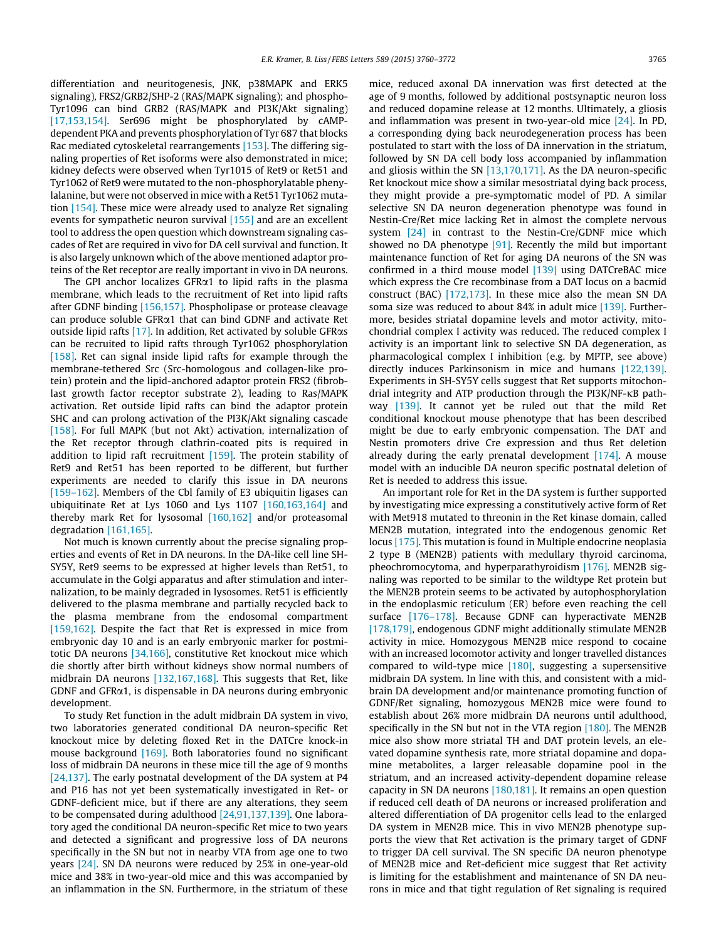differentiation and neuritogenesis, JNK, p38MAPK and ERK5 signaling), FRS2/GRB2/SHP-2 (RAS/MAPK signaling); and phospho-Tyr1096 can bind GRB2 (RAS/MAPK and PI3K/Akt signaling) [\[17,153,154\]](#page-8-0). Ser696 might be phosphorylated by cAMPdependent PKA and prevents phosphorylation of Tyr 687 that blocks Rac mediated cytoskeletal rearrangements [\[153\]](#page-10-0). The differing signaling properties of Ret isoforms were also demonstrated in mice; kidney defects were observed when Tyr1015 of Ret9 or Ret51 and Tyr1062 of Ret9 were mutated to the non-phosphorylatable phenylalanine, but were not observed in mice with a Ret51 Tyr1062 mutation [\[154\].](#page-10-0) These mice were already used to analyze Ret signaling events for sympathetic neuron survival [\[155\]](#page-10-0) and are an excellent tool to address the open question which downstream signaling cascades of Ret are required in vivo for DA cell survival and function. It is also largely unknown which of the above mentioned adaptor proteins of the Ret receptor are really important in vivo in DA neurons.

The GPI anchor localizes GFR $\alpha$ 1 to lipid rafts in the plasma membrane, which leads to the recruitment of Ret into lipid rafts after GDNF binding [\[156,157\].](#page-11-0) Phospholipase or protease cleavage can produce soluble GFRa1 that can bind GDNF and activate Ret outside lipid rafts [\[17\].](#page-8-0) In addition, Ret activated by soluble GFRas can be recruited to lipid rafts through Tyr1062 phosphorylation [\[158\].](#page-11-0) Ret can signal inside lipid rafts for example through the membrane-tethered Src (Src-homologous and collagen-like protein) protein and the lipid-anchored adaptor protein FRS2 (fibroblast growth factor receptor substrate 2), leading to Ras/MAPK activation. Ret outside lipid rafts can bind the adaptor protein SHC and can prolong activation of the PI3K/Akt signaling cascade [\[158\].](#page-11-0) For full MAPK (but not Akt) activation, internalization of the Ret receptor through clathrin-coated pits is required in addition to lipid raft recruitment [\[159\].](#page-11-0) The protein stability of Ret9 and Ret51 has been reported to be different, but further experiments are needed to clarify this issue in DA neurons [\[159–162\].](#page-11-0) Members of the Cbl family of E3 ubiquitin ligases can ubiquitinate Ret at Lys 1060 and Lys 1107 [\[160,163,164\]](#page-11-0) and thereby mark Ret for lysosomal [\[160,162\]](#page-11-0) and/or proteasomal degradation [\[161,165\].](#page-11-0)

Not much is known currently about the precise signaling properties and events of Ret in DA neurons. In the DA-like cell line SH-SY5Y, Ret9 seems to be expressed at higher levels than Ret51, to accumulate in the Golgi apparatus and after stimulation and internalization, to be mainly degraded in lysosomes. Ret51 is efficiently delivered to the plasma membrane and partially recycled back to the plasma membrane from the endosomal compartment [\[159,162\].](#page-11-0) Despite the fact that Ret is expressed in mice from embryonic day 10 and is an early embryonic marker for postmitotic DA neurons [\[34,166\]](#page-8-0), constitutive Ret knockout mice which die shortly after birth without kidneys show normal numbers of midbrain DA neurons [\[132,167,168\]](#page-10-0). This suggests that Ret, like GDNF and GFRa1, is dispensable in DA neurons during embryonic development.

To study Ret function in the adult midbrain DA system in vivo, two laboratories generated conditional DA neuron-specific Ret knockout mice by deleting floxed Ret in the DATCre knock-in mouse background [\[169\].](#page-11-0) Both laboratories found no significant loss of midbrain DA neurons in these mice till the age of 9 months [\[24,137\]](#page-8-0). The early postnatal development of the DA system at P4 and P16 has not yet been systematically investigated in Ret- or GDNF-deficient mice, but if there are any alterations, they seem to be compensated during adulthood [\[24,91,137,139\].](#page-8-0) One laboratory aged the conditional DA neuron-specific Ret mice to two years and detected a significant and progressive loss of DA neurons specifically in the SN but not in nearby VTA from age one to two years [\[24\]](#page-8-0). SN DA neurons were reduced by 25% in one-year-old mice and 38% in two-year-old mice and this was accompanied by an inflammation in the SN. Furthermore, in the striatum of these mice, reduced axonal DA innervation was first detected at the age of 9 months, followed by additional postsynaptic neuron loss and reduced dopamine release at 12 months. Ultimately, a gliosis and inflammation was present in two-year-old mice  $[24]$ . In PD, a corresponding dying back neurodegeneration process has been postulated to start with the loss of DA innervation in the striatum, followed by SN DA cell body loss accompanied by inflammation and gliosis within the SN [\[13,170,171\]](#page-8-0). As the DA neuron-specific Ret knockout mice show a similar mesostriatal dying back process, they might provide a pre-symptomatic model of PD. A similar selective SN DA neuron degeneration phenotype was found in Nestin-Cre/Ret mice lacking Ret in almost the complete nervous system [\[24\]](#page-8-0) in contrast to the Nestin-Cre/GDNF mice which showed no DA phenotype [\[91\].](#page-9-0) Recently the mild but important maintenance function of Ret for aging DA neurons of the SN was confirmed in a third mouse model [\[139\]](#page-10-0) using DATCreBAC mice which express the Cre recombinase from a DAT locus on a bacmid construct (BAC) [\[172,173\].](#page-11-0) In these mice also the mean SN DA soma size was reduced to about 84% in adult mice [\[139\].](#page-10-0) Furthermore, besides striatal dopamine levels and motor activity, mitochondrial complex I activity was reduced. The reduced complex I activity is an important link to selective SN DA degeneration, as pharmacological complex I inhibition (e.g. by MPTP, see above) directly induces Parkinsonism in mice and humans [\[122,139\].](#page-10-0) Experiments in SH-SY5Y cells suggest that Ret supports mitochondrial integrity and ATP production through the PI3K/NF-KB pathway [\[139\].](#page-10-0) It cannot yet be ruled out that the mild Ret conditional knockout mouse phenotype that has been described might be due to early embryonic compensation. The DAT and Nestin promoters drive Cre expression and thus Ret deletion already during the early prenatal development [\[174\].](#page-11-0) A mouse model with an inducible DA neuron specific postnatal deletion of Ret is needed to address this issue.

An important role for Ret in the DA system is further supported by investigating mice expressing a constitutively active form of Ret with Met918 mutated to threonin in the Ret kinase domain, called MEN2B mutation, integrated into the endogenous genomic Ret locus [\[175\]](#page-11-0). This mutation is found in Multiple endocrine neoplasia 2 type B (MEN2B) patients with medullary thyroid carcinoma, pheochromocytoma, and hyperparathyroidism [\[176\].](#page-11-0) MEN2B signaling was reported to be similar to the wildtype Ret protein but the MEN2B protein seems to be activated by autophosphorylation in the endoplasmic reticulum (ER) before even reaching the cell surface [\[176–178\]](#page-11-0). Because GDNF can hyperactivate MEN2B [\[178,179\],](#page-11-0) endogenous GDNF might additionally stimulate MEN2B activity in mice. Homozygous MEN2B mice respond to cocaine with an increased locomotor activity and longer travelled distances compared to wild-type mice  $[180]$ , suggesting a supersensitive midbrain DA system. In line with this, and consistent with a midbrain DA development and/or maintenance promoting function of GDNF/Ret signaling, homozygous MEN2B mice were found to establish about 26% more midbrain DA neurons until adulthood, specifically in the SN but not in the VTA region [\[180\].](#page-11-0) The MEN2B mice also show more striatal TH and DAT protein levels, an elevated dopamine synthesis rate, more striatal dopamine and dopamine metabolites, a larger releasable dopamine pool in the striatum, and an increased activity-dependent dopamine release capacity in SN DA neurons [\[180,181\]](#page-11-0). It remains an open question if reduced cell death of DA neurons or increased proliferation and altered differentiation of DA progenitor cells lead to the enlarged DA system in MEN2B mice. This in vivo MEN2B phenotype supports the view that Ret activation is the primary target of GDNF to trigger DA cell survival. The SN specific DA neuron phenotype of MEN2B mice and Ret-deficient mice suggest that Ret activity is limiting for the establishment and maintenance of SN DA neurons in mice and that tight regulation of Ret signaling is required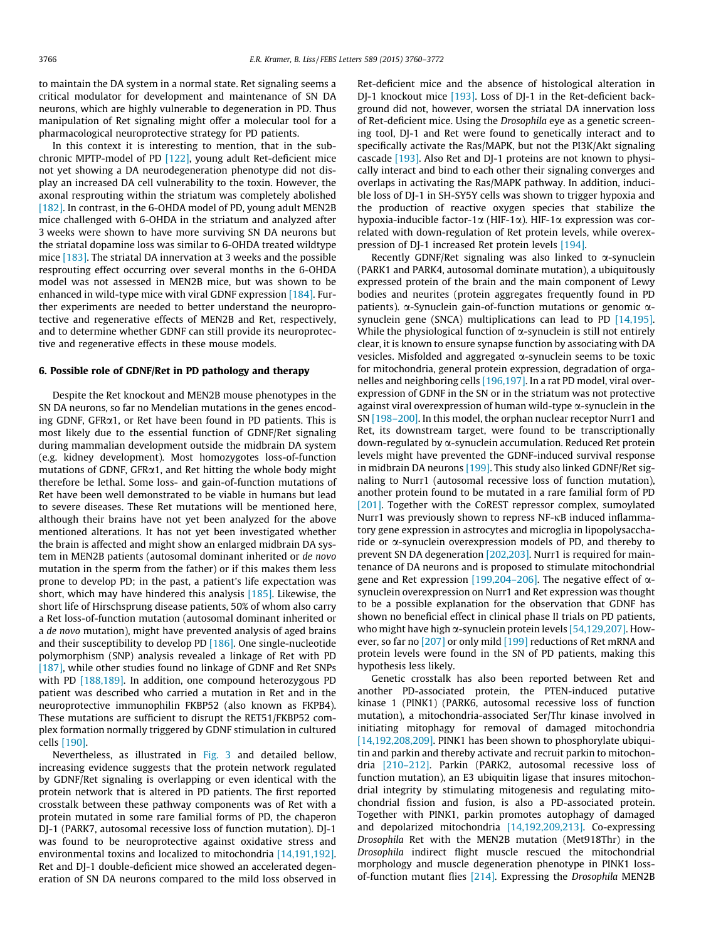to maintain the DA system in a normal state. Ret signaling seems a critical modulator for development and maintenance of SN DA neurons, which are highly vulnerable to degeneration in PD. Thus manipulation of Ret signaling might offer a molecular tool for a pharmacological neuroprotective strategy for PD patients.

In this context it is interesting to mention, that in the subchronic MPTP-model of PD [\[122\],](#page-10-0) young adult Ret-deficient mice not yet showing a DA neurodegeneration phenotype did not display an increased DA cell vulnerability to the toxin. However, the axonal resprouting within the striatum was completely abolished [\[182\].](#page-11-0) In contrast, in the 6-OHDA model of PD, young adult MEN2B mice challenged with 6-OHDA in the striatum and analyzed after 3 weeks were shown to have more surviving SN DA neurons but the striatal dopamine loss was similar to 6-OHDA treated wildtype mice [\[183\]](#page-11-0). The striatal DA innervation at 3 weeks and the possible resprouting effect occurring over several months in the 6-OHDA model was not assessed in MEN2B mice, but was shown to be enhanced in wild-type mice with viral GDNF expression [\[184\]](#page-11-0). Further experiments are needed to better understand the neuroprotective and regenerative effects of MEN2B and Ret, respectively, and to determine whether GDNF can still provide its neuroprotective and regenerative effects in these mouse models.

#### 6. Possible role of GDNF/Ret in PD pathology and therapy

Despite the Ret knockout and MEN2B mouse phenotypes in the SN DA neurons, so far no Mendelian mutations in the genes encoding GDNF, GFRa1, or Ret have been found in PD patients. This is most likely due to the essential function of GDNF/Ret signaling during mammalian development outside the midbrain DA system (e.g. kidney development). Most homozygotes loss-of-function mutations of GDNF, GFR $\alpha$ 1, and Ret hitting the whole body might therefore be lethal. Some loss- and gain-of-function mutations of Ret have been well demonstrated to be viable in humans but lead to severe diseases. These Ret mutations will be mentioned here, although their brains have not yet been analyzed for the above mentioned alterations. It has not yet been investigated whether the brain is affected and might show an enlarged midbrain DA system in MEN2B patients (autosomal dominant inherited or de novo mutation in the sperm from the father) or if this makes them less prone to develop PD; in the past, a patient's life expectation was short, which may have hindered this analysis [\[185\]](#page-11-0). Likewise, the short life of Hirschsprung disease patients, 50% of whom also carry a Ret loss-of-function mutation (autosomal dominant inherited or a de novo mutation), might have prevented analysis of aged brains and their susceptibility to develop PD [\[186\].](#page-11-0) One single-nucleotide polymorphism (SNP) analysis revealed a linkage of Ret with PD [\[187\],](#page-11-0) while other studies found no linkage of GDNF and Ret SNPs with PD [\[188,189\]](#page-11-0). In addition, one compound heterozygous PD patient was described who carried a mutation in Ret and in the neuroprotective immunophilin FKBP52 (also known as FKPB4). These mutations are sufficient to disrupt the RET51/FKBP52 complex formation normally triggered by GDNF stimulation in cultured cells [\[190\]](#page-11-0).

Nevertheless, as illustrated in [Fig. 3](#page-7-0) and detailed bellow, increasing evidence suggests that the protein network regulated by GDNF/Ret signaling is overlapping or even identical with the protein network that is altered in PD patients. The first reported crosstalk between these pathway components was of Ret with a protein mutated in some rare familial forms of PD, the chaperon DJ-1 (PARK7, autosomal recessive loss of function mutation). DJ-1 was found to be neuroprotective against oxidative stress and environmental toxins and localized to mitochondria [\[14,191,192\].](#page-8-0) Ret and DJ-1 double-deficient mice showed an accelerated degeneration of SN DA neurons compared to the mild loss observed in Ret-deficient mice and the absence of histological alteration in DJ-1 knockout mice [\[193\].](#page-11-0) Loss of DJ-1 in the Ret-deficient background did not, however, worsen the striatal DA innervation loss of Ret-deficient mice. Using the Drosophila eye as a genetic screening tool, DJ-1 and Ret were found to genetically interact and to specifically activate the Ras/MAPK, but not the PI3K/Akt signaling cascade [\[193\].](#page-11-0) Also Ret and DJ-1 proteins are not known to physically interact and bind to each other their signaling converges and overlaps in activating the Ras/MAPK pathway. In addition, inducible loss of DJ-1 in SH-SY5Y cells was shown to trigger hypoxia and the production of reactive oxygen species that stabilize the hypoxia-inducible factor-1a (HIF-1a). HIF-1a expression was correlated with down-regulation of Ret protein levels, while overexpression of DJ-1 increased Ret protein levels [\[194\]](#page-11-0).

Recently GDNF/Ret signaling was also linked to  $\alpha$ -synuclein (PARK1 and PARK4, autosomal dominate mutation), a ubiquitously expressed protein of the brain and the main component of Lewy bodies and neurites (protein aggregates frequently found in PD patients).  $\alpha$ -Synuclein gain-of-function mutations or genomic  $\alpha$ synuclein gene (SNCA) multiplications can lead to PD [\[14,195\].](#page-8-0) While the physiological function of  $\alpha$ -synuclein is still not entirely clear, it is known to ensure synapse function by associating with DA vesicles. Misfolded and aggregated  $\alpha$ -synuclein seems to be toxic for mitochondria, general protein expression, degradation of organelles and neighboring cells [\[196,197\]](#page-11-0). In a rat PD model, viral overexpression of GDNF in the SN or in the striatum was not protective against viral overexpression of human wild-type  $\alpha$ -synuclein in the SN [\[198–200\].](#page-11-0) In this model, the orphan nuclear receptor Nurr1 and Ret, its downstream target, were found to be transcriptionally down-regulated by a-synuclein accumulation. Reduced Ret protein levels might have prevented the GDNF-induced survival response in midbrain DA neurons [\[199\]](#page-11-0). This study also linked GDNF/Ret signaling to Nurr1 (autosomal recessive loss of function mutation), another protein found to be mutated in a rare familial form of PD [\[201\].](#page-11-0) Together with the CoREST repressor complex, sumoylated Nurr1 was previously shown to repress NF-KB induced inflammatory gene expression in astrocytes and microglia in lipopolysaccharide or a-synuclein overexpression models of PD, and thereby to prevent SN DA degeneration [\[202,203\].](#page-11-0) Nurr1 is required for maintenance of DA neurons and is proposed to stimulate mitochondrial gene and Ret expression [\[199,204–206\]](#page-11-0). The negative effect of  $\alpha$ synuclein overexpression on Nurr1 and Ret expression was thought to be a possible explanation for the observation that GDNF has shown no beneficial effect in clinical phase II trials on PD patients, who might have high  $\alpha$ -synuclein protein levels [\[54,129,207\]](#page-9-0). However, so far no [\[207\]](#page-11-0) or only mild [\[199\]](#page-11-0) reductions of Ret mRNA and protein levels were found in the SN of PD patients, making this hypothesis less likely.

Genetic crosstalk has also been reported between Ret and another PD-associated protein, the PTEN-induced putative kinase 1 (PINK1) (PARK6, autosomal recessive loss of function mutation), a mitochondria-associated Ser/Thr kinase involved in initiating mitophagy for removal of damaged mitochondria [\[14,192,208,209\]](#page-8-0). PINK1 has been shown to phosphorylate ubiquitin and parkin and thereby activate and recruit parkin to mitochondria [\[210–212\]](#page-11-0). Parkin (PARK2, autosomal recessive loss of function mutation), an E3 ubiquitin ligase that insures mitochondrial integrity by stimulating mitogenesis and regulating mitochondrial fission and fusion, is also a PD-associated protein. Together with PINK1, parkin promotes autophagy of damaged and depolarized mitochondria [\[14,192,209,213\].](#page-8-0) Co-expressing Drosophila Ret with the MEN2B mutation (Met918Thr) in the Drosophila indirect flight muscle rescued the mitochondrial morphology and muscle degeneration phenotype in PINK1 lossof-function mutant flies [\[214\]](#page-12-0). Expressing the Drosophila MEN2B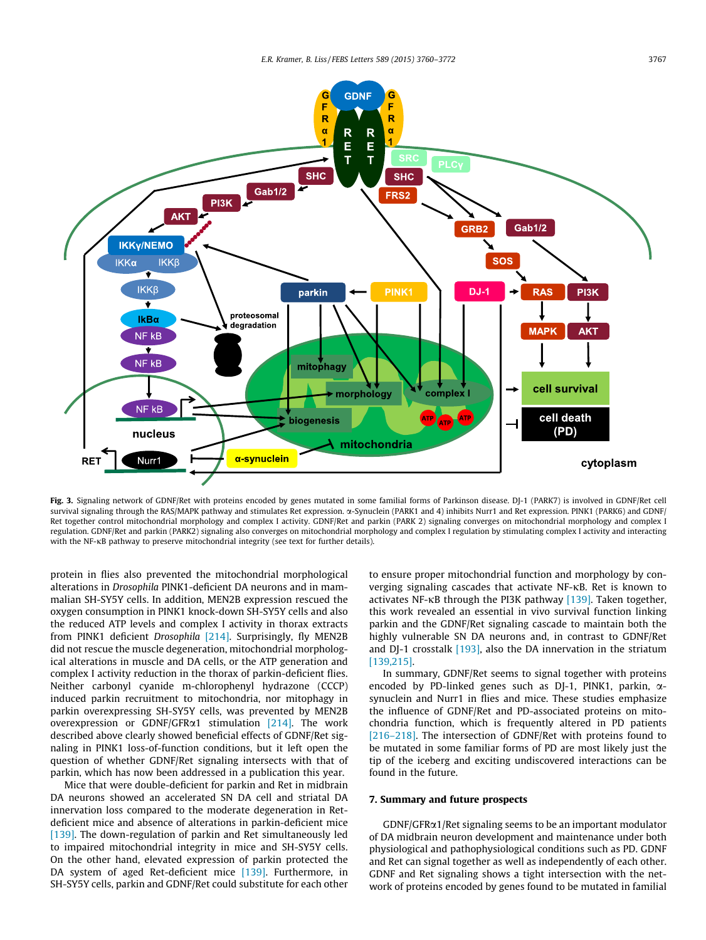<span id="page-7-0"></span>

Fig. 3. Signaling network of GDNF/Ret with proteins encoded by genes mutated in some familial forms of Parkinson disease. DJ-1 (PARK7) is involved in GDNF/Ret cell survival signaling through the RAS/MAPK pathway and stimulates Ret expression.  $\alpha$ -Synuclein (PARK1 and 4) inhibits Nurr1 and Ret expression. PINK1 (PARK6) and GDNF/ Ret together control mitochondrial morphology and complex I activity. GDNF/Ret and parkin (PARK 2) signaling converges on mitochondrial morphology and complex I regulation. GDNF/Ret and parkin (PARK2) signaling also converges on mitochondrial morphology and complex I regulation by stimulating complex I activity and interacting with the NF-KB pathway to preserve mitochondrial integrity (see text for further details).

protein in flies also prevented the mitochondrial morphological alterations in Drosophila PINK1-deficient DA neurons and in mammalian SH-SY5Y cells. In addition, MEN2B expression rescued the oxygen consumption in PINK1 knock-down SH-SY5Y cells and also the reduced ATP levels and complex I activity in thorax extracts from PINK1 deficient Drosophila [\[214\]](#page-12-0). Surprisingly, fly MEN2B did not rescue the muscle degeneration, mitochondrial morphological alterations in muscle and DA cells, or the ATP generation and complex I activity reduction in the thorax of parkin-deficient flies. Neither carbonyl cyanide m-chlorophenyl hydrazone (CCCP) induced parkin recruitment to mitochondria, nor mitophagy in parkin overexpressing SH-SY5Y cells, was prevented by MEN2B overexpression or GDNF/GFR $\alpha$ 1 stimulation [\[214\].](#page-12-0) The work described above clearly showed beneficial effects of GDNF/Ret signaling in PINK1 loss-of-function conditions, but it left open the question of whether GDNF/Ret signaling intersects with that of parkin, which has now been addressed in a publication this year.

Mice that were double-deficient for parkin and Ret in midbrain DA neurons showed an accelerated SN DA cell and striatal DA innervation loss compared to the moderate degeneration in Retdeficient mice and absence of alterations in parkin-deficient mice [\[139\].](#page-10-0) The down-regulation of parkin and Ret simultaneously led to impaired mitochondrial integrity in mice and SH-SY5Y cells. On the other hand, elevated expression of parkin protected the DA system of aged Ret-deficient mice [\[139\]](#page-10-0). Furthermore, in SH-SY5Y cells, parkin and GDNF/Ret could substitute for each other to ensure proper mitochondrial function and morphology by converging signaling cascades that activate NF-KB. Ret is known to activates NF- $\kappa$ B through the PI3K pathway [\[139\].](#page-10-0) Taken together, this work revealed an essential in vivo survival function linking parkin and the GDNF/Ret signaling cascade to maintain both the highly vulnerable SN DA neurons and, in contrast to GDNF/Ret and DJ-1 crosstalk [\[193\]](#page-11-0), also the DA innervation in the striatum [\[139,215\].](#page-10-0)

In summary, GDNF/Ret seems to signal together with proteins encoded by PD-linked genes such as DJ-1, PINK1, parkin,  $\alpha$ synuclein and Nurr1 in flies and mice. These studies emphasize the influence of GDNF/Ret and PD-associated proteins on mitochondria function, which is frequently altered in PD patients [\[216–218\].](#page-12-0) The intersection of GDNF/Ret with proteins found to be mutated in some familiar forms of PD are most likely just the tip of the iceberg and exciting undiscovered interactions can be found in the future.

## 7. Summary and future prospects

GDNF/GFRa1/Ret signaling seems to be an important modulator of DA midbrain neuron development and maintenance under both physiological and pathophysiological conditions such as PD. GDNF and Ret can signal together as well as independently of each other. GDNF and Ret signaling shows a tight intersection with the network of proteins encoded by genes found to be mutated in familial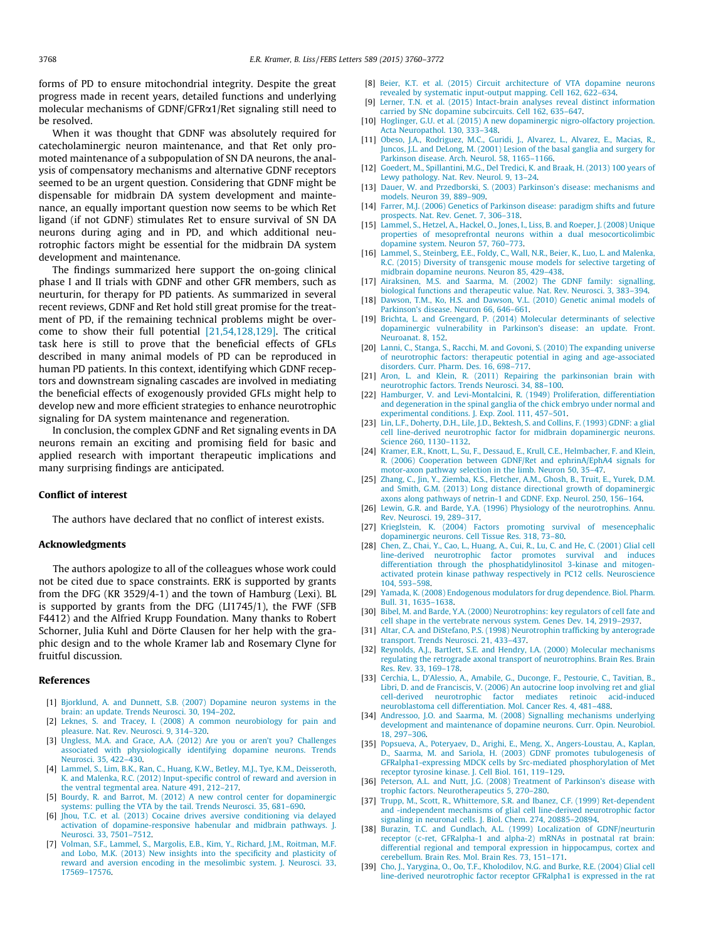<span id="page-8-0"></span>forms of PD to ensure mitochondrial integrity. Despite the great progress made in recent years, detailed functions and underlying molecular mechanisms of GDNF/GFRa1/Ret signaling still need to be resolved.

When it was thought that GDNF was absolutely required for catecholaminergic neuron maintenance, and that Ret only promoted maintenance of a subpopulation of SN DA neurons, the analysis of compensatory mechanisms and alternative GDNF receptors seemed to be an urgent question. Considering that GDNF might be dispensable for midbrain DA system development and maintenance, an equally important question now seems to be which Ret ligand (if not GDNF) stimulates Ret to ensure survival of SN DA neurons during aging and in PD, and which additional neurotrophic factors might be essential for the midbrain DA system development and maintenance.

The findings summarized here support the on-going clinical phase I and II trials with GDNF and other GFR members, such as neurturin, for therapy for PD patients. As summarized in several recent reviews, GDNF and Ret hold still great promise for the treatment of PD, if the remaining technical problems might be overcome to show their full potential [21,54,128,129]. The critical task here is still to prove that the beneficial effects of GFLs described in many animal models of PD can be reproduced in human PD patients. In this context, identifying which GDNF receptors and downstream signaling cascades are involved in mediating the beneficial effects of exogenously provided GFLs might help to develop new and more efficient strategies to enhance neurotrophic signaling for DA system maintenance and regeneration.

In conclusion, the complex GDNF and Ret signaling events in DA neurons remain an exciting and promising field for basic and applied research with important therapeutic implications and many surprising findings are anticipated.

#### Conflict of interest

The authors have declared that no conflict of interest exists.

#### Acknowledgments

The authors apologize to all of the colleagues whose work could not be cited due to space constraints. ERK is supported by grants from the DFG (KR 3529/4-1) and the town of Hamburg (Lexi). BL is supported by grants from the DFG (LI1745/1), the FWF (SFB F4412) and the Alfried Krupp Foundation. Many thanks to Robert Schorner, Julia Kuhl and Dörte Clausen for her help with the graphic design and to the whole Kramer lab and Rosemary Clyne for fruitful discussion.

#### References

- [1] [Bjorklund, A. and Dunnett, S.B. \(2007\) Dopamine neuron systems in the](http://refhub.elsevier.com/S0014-5793(15)00977-1/h0005) [brain: an update. Trends Neurosci. 30, 194–202.](http://refhub.elsevier.com/S0014-5793(15)00977-1/h0005)
- [2] [Leknes, S. and Tracey, I. \(2008\) A common neurobiology for pain and](http://refhub.elsevier.com/S0014-5793(15)00977-1/h0010) [pleasure. Nat. Rev. Neurosci. 9, 314–320.](http://refhub.elsevier.com/S0014-5793(15)00977-1/h0010)
- [3] [Ungless, M.A. and Grace, A.A. \(2012\) Are you or aren't you? Challenges](http://refhub.elsevier.com/S0014-5793(15)00977-1/h0015) [associated with physiologically identifying dopamine neurons. Trends](http://refhub.elsevier.com/S0014-5793(15)00977-1/h0015) [Neurosci. 35, 422–430.](http://refhub.elsevier.com/S0014-5793(15)00977-1/h0015)
- [4] [Lammel, S., Lim, B.K., Ran, C., Huang, K.W., Betley, M.J., Tye, K.M., Deisseroth,](http://refhub.elsevier.com/S0014-5793(15)00977-1/h0020) [K. and Malenka, R.C. \(2012\) Input-specific control of reward and aversion in](http://refhub.elsevier.com/S0014-5793(15)00977-1/h0020) [the ventral tegmental area. Nature 491, 212–217](http://refhub.elsevier.com/S0014-5793(15)00977-1/h0020).
- [5] [Bourdy, R. and Barrot, M. \(2012\) A new control center for dopaminergic](http://refhub.elsevier.com/S0014-5793(15)00977-1/h0025) [systems: pulling the VTA by the tail. Trends Neurosci. 35, 681–690](http://refhub.elsevier.com/S0014-5793(15)00977-1/h0025).
- [6] [Jhou, T.C. et al. \(2013\) Cocaine drives aversive conditioning via delayed](http://refhub.elsevier.com/S0014-5793(15)00977-1/h0030) [activation of dopamine-responsive habenular and midbrain pathways. J.](http://refhub.elsevier.com/S0014-5793(15)00977-1/h0030) [Neurosci. 33, 7501–7512.](http://refhub.elsevier.com/S0014-5793(15)00977-1/h0030)
- [7] [Volman, S.F., Lammel, S., Margolis, E.B., Kim, Y., Richard, J.M., Roitman, M.F.](http://refhub.elsevier.com/S0014-5793(15)00977-1/h0035) [and Lobo, M.K. \(2013\) New insights into the specificity and plasticity of](http://refhub.elsevier.com/S0014-5793(15)00977-1/h0035) [reward and aversion encoding in the mesolimbic system. J. Neurosci. 33,](http://refhub.elsevier.com/S0014-5793(15)00977-1/h0035) [17569–17576.](http://refhub.elsevier.com/S0014-5793(15)00977-1/h0035)
- [8] [Beier, K.T. et al. \(2015\) Circuit architecture of VTA dopamine neurons](http://refhub.elsevier.com/S0014-5793(15)00977-1/h0040) [revealed by systematic input-output mapping. Cell 162, 622–634.](http://refhub.elsevier.com/S0014-5793(15)00977-1/h0040)
- [9] [Lerner, T.N. et al. \(2015\) Intact-brain analyses reveal distinct information](http://refhub.elsevier.com/S0014-5793(15)00977-1/h0045) [carried by SNc dopamine subcircuits. Cell 162, 635–647](http://refhub.elsevier.com/S0014-5793(15)00977-1/h0045).
- [10] [Hoglinger, G.U. et al. \(2015\) A new dopaminergic nigro-olfactory projection.](http://refhub.elsevier.com/S0014-5793(15)00977-1/h0050) [Acta Neuropathol. 130, 333–348](http://refhub.elsevier.com/S0014-5793(15)00977-1/h0050).
- [11] [Obeso, J.A., Rodriguez, M.C., Guridi, J., Alvarez, L., Alvarez, E., Macias, R.,](http://refhub.elsevier.com/S0014-5793(15)00977-1/h0055) [Juncos, J.L. and DeLong, M. \(2001\) Lesion of the basal ganglia and surgery for](http://refhub.elsevier.com/S0014-5793(15)00977-1/h0055) [Parkinson disease. Arch. Neurol. 58, 1165–1166.](http://refhub.elsevier.com/S0014-5793(15)00977-1/h0055)
- [12] [Goedert, M., Spillantini, M.G., Del Tredici, K. and Braak, H. \(2013\) 100 years of](http://refhub.elsevier.com/S0014-5793(15)00977-1/h0060) [Lewy pathology. Nat. Rev. Neurol. 9, 13–24](http://refhub.elsevier.com/S0014-5793(15)00977-1/h0060).
- [13] [Dauer, W. and Przedborski, S. \(2003\) Parkinson's disease: mechanisms and](http://refhub.elsevier.com/S0014-5793(15)00977-1/h0065) [models. Neuron 39, 889–909.](http://refhub.elsevier.com/S0014-5793(15)00977-1/h0065)
- [14] [Farrer, M.J. \(2006\) Genetics of Parkinson disease: paradigm shifts and future](http://refhub.elsevier.com/S0014-5793(15)00977-1/h0070) [prospects. Nat. Rev. Genet. 7, 306–318.](http://refhub.elsevier.com/S0014-5793(15)00977-1/h0070)
- [15] [Lammel, S., Hetzel, A., Hackel, O., Jones, I., Liss, B. and Roeper, J. \(2008\) Unique](http://refhub.elsevier.com/S0014-5793(15)00977-1/h0075) [properties of mesoprefrontal neurons within a dual mesocorticolimbic](http://refhub.elsevier.com/S0014-5793(15)00977-1/h0075) [dopamine system. Neuron 57, 760–773](http://refhub.elsevier.com/S0014-5793(15)00977-1/h0075).
- [16] [Lammel, S., Steinberg, E.E., Foldy, C., Wall, N.R., Beier, K., Luo, L. and Malenka,](http://refhub.elsevier.com/S0014-5793(15)00977-1/h0080) [R.C. \(2015\) Diversity of transgenic mouse models for selective targeting of](http://refhub.elsevier.com/S0014-5793(15)00977-1/h0080) [midbrain dopamine neurons. Neuron 85, 429–438](http://refhub.elsevier.com/S0014-5793(15)00977-1/h0080).
- [17] [Airaksinen, M.S. and Saarma, M. \(2002\) The GDNF family: signalling,](http://refhub.elsevier.com/S0014-5793(15)00977-1/h0085) [biological functions and therapeutic value. Nat. Rev. Neurosci. 3, 383–394.](http://refhub.elsevier.com/S0014-5793(15)00977-1/h0085)
- [18] [Dawson, T.M., Ko, H.S. and Dawson, V.L. \(2010\) Genetic animal models of](http://refhub.elsevier.com/S0014-5793(15)00977-1/h0090) [Parkinson's disease. Neuron 66, 646–661](http://refhub.elsevier.com/S0014-5793(15)00977-1/h0090).
- [19] [Brichta, L. and Greengard, P. \(2014\) Molecular determinants of selective](http://refhub.elsevier.com/S0014-5793(15)00977-1/h0095) [dopaminergic vulnerability in Parkinson's disease: an update. Front.](http://refhub.elsevier.com/S0014-5793(15)00977-1/h0095) [Neuroanat. 8, 152.](http://refhub.elsevier.com/S0014-5793(15)00977-1/h0095)
- [20] [Lanni, C., Stanga, S., Racchi, M. and Govoni, S. \(2010\) The expanding universe](http://refhub.elsevier.com/S0014-5793(15)00977-1/h0100) [of neurotrophic factors: therapeutic potential in aging and age-associated](http://refhub.elsevier.com/S0014-5793(15)00977-1/h0100) [disorders. Curr. Pharm. Des. 16, 698–717](http://refhub.elsevier.com/S0014-5793(15)00977-1/h0100).
- [21] [Aron, L. and Klein, R. \(2011\) Repairing the parkinsonian brain with](http://refhub.elsevier.com/S0014-5793(15)00977-1/h0105) [neurotrophic factors. Trends Neurosci. 34, 88–100.](http://refhub.elsevier.com/S0014-5793(15)00977-1/h0105)
- [22] [Hamburger, V. and Levi-Montalcini, R. \(1949\) Proliferation, differentiation](http://refhub.elsevier.com/S0014-5793(15)00977-1/h0110) [and degeneration in the spinal ganglia of the chick embryo under normal and](http://refhub.elsevier.com/S0014-5793(15)00977-1/h0110) [experimental conditions. J. Exp. Zool. 111, 457–501](http://refhub.elsevier.com/S0014-5793(15)00977-1/h0110).
- [23] [Lin, L.F., Doherty, D.H., Lile, J.D., Bektesh, S. and Collins, F. \(1993\) GDNF: a glial](http://refhub.elsevier.com/S0014-5793(15)00977-1/h0115) [cell line-derived neurotrophic factor for midbrain dopaminergic neurons.](http://refhub.elsevier.com/S0014-5793(15)00977-1/h0115) [Science 260, 1130–1132](http://refhub.elsevier.com/S0014-5793(15)00977-1/h0115).
- [24] [Kramer, E.R., Knott, L., Su, F., Dessaud, E., Krull, C.E., Helmbacher, F. and Klein,](http://refhub.elsevier.com/S0014-5793(15)00977-1/h0120) [R. \(2006\) Cooperation between GDNF/Ret and ephrinA/EphA4 signals for](http://refhub.elsevier.com/S0014-5793(15)00977-1/h0120) [motor-axon pathway selection in the limb. Neuron 50, 35–47](http://refhub.elsevier.com/S0014-5793(15)00977-1/h0120).
- [25] [Zhang, C., Jin, Y., Ziemba, K.S., Fletcher, A.M., Ghosh, B., Truit, E., Yurek, D.M.](http://refhub.elsevier.com/S0014-5793(15)00977-1/h0125) [and Smith, G.M. \(2013\) Long distance directional growth of dopaminergic](http://refhub.elsevier.com/S0014-5793(15)00977-1/h0125) [axons along pathways of netrin-1 and GDNF. Exp. Neurol. 250, 156–164.](http://refhub.elsevier.com/S0014-5793(15)00977-1/h0125)
- [26] [Lewin, G.R. and Barde, Y.A. \(1996\) Physiology of the neurotrophins. Annu.](http://refhub.elsevier.com/S0014-5793(15)00977-1/h0130) [Rev. Neurosci. 19, 289–317](http://refhub.elsevier.com/S0014-5793(15)00977-1/h0130).
- [27] [Krieglstein, K. \(2004\) Factors promoting survival of mesencephalic](http://refhub.elsevier.com/S0014-5793(15)00977-1/h0135) [dopaminergic neurons. Cell Tissue Res. 318, 73–80.](http://refhub.elsevier.com/S0014-5793(15)00977-1/h0135)
- [28] [Chen, Z., Chai, Y., Cao, L., Huang, A., Cui, R., Lu, C. and He, C. \(2001\) Glial cell](http://refhub.elsevier.com/S0014-5793(15)00977-1/h0140) [line-derived neurotrophic factor promotes survival and induces](http://refhub.elsevier.com/S0014-5793(15)00977-1/h0140) [differentiation through the phosphatidylinositol 3-kinase and mitogen](http://refhub.elsevier.com/S0014-5793(15)00977-1/h0140)[activated protein kinase pathway respectively in PC12 cells. Neuroscience](http://refhub.elsevier.com/S0014-5793(15)00977-1/h0140) [104, 593–598](http://refhub.elsevier.com/S0014-5793(15)00977-1/h0140).
- [29] [Yamada, K. \(2008\) Endogenous modulators for drug dependence. Biol. Pharm.](http://refhub.elsevier.com/S0014-5793(15)00977-1/h0145) [Bull. 31, 1635–1638.](http://refhub.elsevier.com/S0014-5793(15)00977-1/h0145)
- [30] [Bibel, M. and Barde, Y.A. \(2000\) Neurotrophins: key regulators of cell fate and](http://refhub.elsevier.com/S0014-5793(15)00977-1/h0150) [cell shape in the vertebrate nervous system. Genes Dev. 14, 2919–2937.](http://refhub.elsevier.com/S0014-5793(15)00977-1/h0150)
- [31] [Altar, C.A. and DiStefano, P.S. \(1998\) Neurotrophin trafficking by anterograde](http://refhub.elsevier.com/S0014-5793(15)00977-1/h0155) [transport. Trends Neurosci. 21, 433–437](http://refhub.elsevier.com/S0014-5793(15)00977-1/h0155).
- [32] [Reynolds, A.J., Bartlett, S.E. and Hendry, I.A. \(2000\) Molecular mechanisms](http://refhub.elsevier.com/S0014-5793(15)00977-1/h0160) [regulating the retrograde axonal transport of neurotrophins. Brain Res. Brain](http://refhub.elsevier.com/S0014-5793(15)00977-1/h0160) [Res. Rev. 33, 169–178](http://refhub.elsevier.com/S0014-5793(15)00977-1/h0160).
- [33] [Cerchia, L., D'Alessio, A., Amabile, G., Duconge, F., Pestourie, C., Tavitian, B.,](http://refhub.elsevier.com/S0014-5793(15)00977-1/h0165) [Libri, D. and de Franciscis, V. \(2006\) An autocrine loop involving ret and glial](http://refhub.elsevier.com/S0014-5793(15)00977-1/h0165) [cell-derived neurotrophic factor mediates retinoic acid-induced](http://refhub.elsevier.com/S0014-5793(15)00977-1/h0165) [neuroblastoma cell differentiation. Mol. Cancer Res. 4, 481–488](http://refhub.elsevier.com/S0014-5793(15)00977-1/h0165).
- [34] [Andressoo, J.O. and Saarma, M. \(2008\) Signalling mechanisms underlying](http://refhub.elsevier.com/S0014-5793(15)00977-1/h0170) [development and maintenance of dopamine neurons. Curr. Opin. Neurobiol.](http://refhub.elsevier.com/S0014-5793(15)00977-1/h0170) [18, 297–306](http://refhub.elsevier.com/S0014-5793(15)00977-1/h0170).
- [35] [Popsueva, A., Poteryaev, D., Arighi, E., Meng, X., Angers-Loustau, A., Kaplan,](http://refhub.elsevier.com/S0014-5793(15)00977-1/h0175) [D., Saarma, M. and Sariola, H. \(2003\) GDNF promotes tubulogenesis of](http://refhub.elsevier.com/S0014-5793(15)00977-1/h0175) [GFRalpha1-expressing MDCK cells by Src-mediated phosphorylation of Met](http://refhub.elsevier.com/S0014-5793(15)00977-1/h0175) [receptor tyrosine kinase. J. Cell Biol. 161, 119–129.](http://refhub.elsevier.com/S0014-5793(15)00977-1/h0175)
- [36] [Peterson, A.L. and Nutt, J.G. \(2008\) Treatment of Parkinson's disease with](http://refhub.elsevier.com/S0014-5793(15)00977-1/h0180) [trophic factors. Neurotherapeutics 5, 270–280.](http://refhub.elsevier.com/S0014-5793(15)00977-1/h0180)
- [37] [Trupp, M., Scott, R., Whittemore, S.R. and Ibanez, C.F. \(1999\) Ret-dependent](http://refhub.elsevier.com/S0014-5793(15)00977-1/h0185) [and -independent mechanisms of glial cell line-derived neurotrophic factor](http://refhub.elsevier.com/S0014-5793(15)00977-1/h0185) [signaling in neuronal cells. J. Biol. Chem. 274, 20885–20894](http://refhub.elsevier.com/S0014-5793(15)00977-1/h0185).
- [38] [Burazin, T.C. and Gundlach, A.L. \(1999\) Localization of GDNF/neurturin](http://refhub.elsevier.com/S0014-5793(15)00977-1/h0190) [receptor \(c-ret, GFRalpha-1 and alpha-2\) mRNAs in postnatal rat brain:](http://refhub.elsevier.com/S0014-5793(15)00977-1/h0190) [differential regional and temporal expression in hippocampus, cortex and](http://refhub.elsevier.com/S0014-5793(15)00977-1/h0190) [cerebellum. Brain Res. Mol. Brain Res. 73, 151–171.](http://refhub.elsevier.com/S0014-5793(15)00977-1/h0190)
- [39] [Cho, J., Yarygina, O., Oo, T.F., Kholodilov, N.G. and Burke, R.E. \(2004\) Glial cell](http://refhub.elsevier.com/S0014-5793(15)00977-1/h0195) [line-derived neurotrophic factor receptor GFRalpha1 is expressed in the rat](http://refhub.elsevier.com/S0014-5793(15)00977-1/h0195)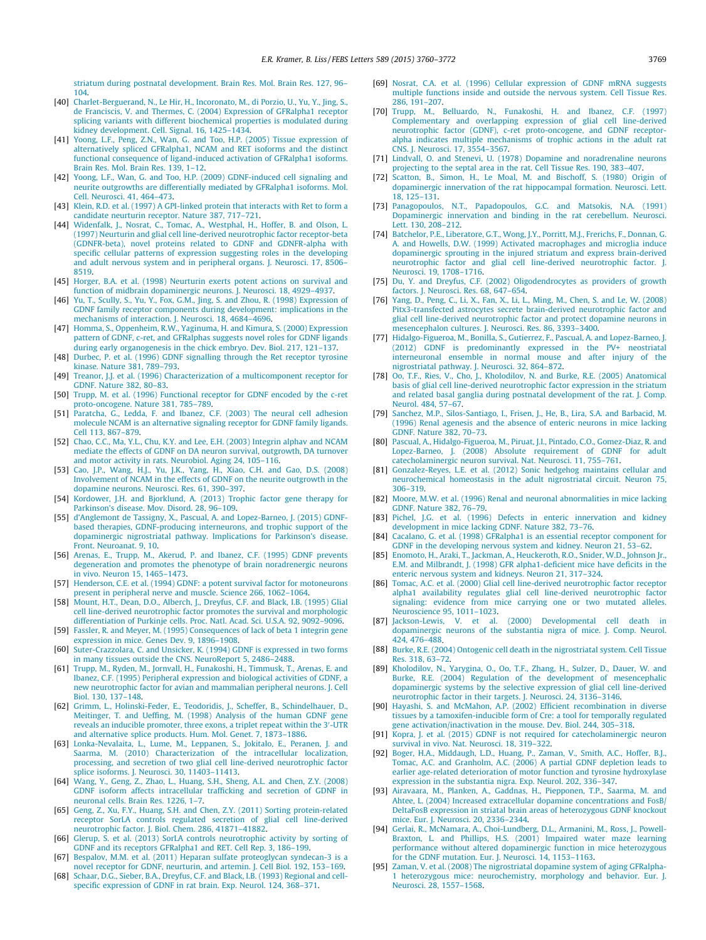<span id="page-9-0"></span>[striatum during postnatal development. Brain Res. Mol. Brain Res. 127, 96–](http://refhub.elsevier.com/S0014-5793(15)00977-1/h0195) [104.](http://refhub.elsevier.com/S0014-5793(15)00977-1/h0195)

- [40] [Charlet-Berguerand, N., Le Hir, H., Incoronato, M., di Porzio, U., Yu, Y., Jing, S.,](http://refhub.elsevier.com/S0014-5793(15)00977-1/h0200) [de Franciscis, V. and Thermes, C. \(2004\) Expression of GFRalpha1 receptor](http://refhub.elsevier.com/S0014-5793(15)00977-1/h0200) [splicing variants with different biochemical properties is modulated during](http://refhub.elsevier.com/S0014-5793(15)00977-1/h0200) [kidney development. Cell. Signal. 16, 1425–1434.](http://refhub.elsevier.com/S0014-5793(15)00977-1/h0200)
- [41] [Yoong, L.F., Peng, Z.N., Wan, G. and Too, H.P. \(2005\) Tissue expression of](http://refhub.elsevier.com/S0014-5793(15)00977-1/h0205) [alternatively spliced GFRalpha1, NCAM and RET isoforms and the distinct](http://refhub.elsevier.com/S0014-5793(15)00977-1/h0205) [functional consequence of ligand-induced activation of GFRalpha1 isoforms.](http://refhub.elsevier.com/S0014-5793(15)00977-1/h0205) [Brain Res. Mol. Brain Res. 139, 1–12](http://refhub.elsevier.com/S0014-5793(15)00977-1/h0205).
- [42] [Yoong, L.F., Wan, G. and Too, H.P. \(2009\) GDNF-induced cell signaling and](http://refhub.elsevier.com/S0014-5793(15)00977-1/h0210) [neurite outgrowths are differentially mediated by GFRalpha1 isoforms. Mol.](http://refhub.elsevier.com/S0014-5793(15)00977-1/h0210) [Cell. Neurosci. 41, 464–473](http://refhub.elsevier.com/S0014-5793(15)00977-1/h0210).
- [43] [Klein, R.D. et al. \(1997\) A GPI-linked protein that interacts with Ret to form a](http://refhub.elsevier.com/S0014-5793(15)00977-1/h0215) [candidate neurturin receptor. Nature 387, 717–721.](http://refhub.elsevier.com/S0014-5793(15)00977-1/h0215)
- [44] [Widenfalk, J., Nosrat, C., Tomac, A., Westphal, H., Hoffer, B. and Olson, L.](http://refhub.elsevier.com/S0014-5793(15)00977-1/h0220) [\(1997\) Neurturin and glial cell line-derived neurotrophic factor receptor-beta](http://refhub.elsevier.com/S0014-5793(15)00977-1/h0220) [\(GDNFR-beta\), novel proteins related to GDNF and GDNFR-alpha with](http://refhub.elsevier.com/S0014-5793(15)00977-1/h0220) [specific cellular patterns of expression suggesting roles in the developing](http://refhub.elsevier.com/S0014-5793(15)00977-1/h0220) [and adult nervous system and in peripheral organs. J. Neurosci. 17, 8506–](http://refhub.elsevier.com/S0014-5793(15)00977-1/h0220) [8519](http://refhub.elsevier.com/S0014-5793(15)00977-1/h0220).
- [45] [Horger, B.A. et al. \(1998\) Neurturin exerts potent actions on survival and](http://refhub.elsevier.com/S0014-5793(15)00977-1/h0225) [function of midbrain dopaminergic neurons. J. Neurosci. 18, 4929–4937](http://refhub.elsevier.com/S0014-5793(15)00977-1/h0225).
- [46] [Yu, T., Scully, S., Yu, Y., Fox, G.M., Jing, S. and Zhou, R. \(1998\) Expression of](http://refhub.elsevier.com/S0014-5793(15)00977-1/h0230) [GDNF family receptor components during development: implications in the](http://refhub.elsevier.com/S0014-5793(15)00977-1/h0230) [mechanisms of interaction. J. Neurosci. 18, 4684–4696.](http://refhub.elsevier.com/S0014-5793(15)00977-1/h0230)
- [47] [Homma, S., Oppenheim, R.W., Yaginuma, H. and Kimura, S. \(2000\) Expression](http://refhub.elsevier.com/S0014-5793(15)00977-1/h0235) [pattern of GDNF, c-ret, and GFRalphas suggests novel roles for GDNF ligands](http://refhub.elsevier.com/S0014-5793(15)00977-1/h0235) [during early organogenesis in the chick embryo. Dev. Biol. 217, 121–137.](http://refhub.elsevier.com/S0014-5793(15)00977-1/h0235)
- [48] [Durbec, P. et al. \(1996\) GDNF signalling through the Ret receptor tyrosine](http://refhub.elsevier.com/S0014-5793(15)00977-1/h0240) [kinase. Nature 381, 789–793.](http://refhub.elsevier.com/S0014-5793(15)00977-1/h0240)
- [49] [Treanor, J.J. et al. \(1996\) Characterization of a multicomponent receptor for](http://refhub.elsevier.com/S0014-5793(15)00977-1/h0245) [GDNF. Nature 382, 80–83](http://refhub.elsevier.com/S0014-5793(15)00977-1/h0245).
- [50] [Trupp, M. et al. \(1996\) Functional receptor for GDNF encoded by the c-ret](http://refhub.elsevier.com/S0014-5793(15)00977-1/h0250) [proto-oncogene. Nature 381, 785–789](http://refhub.elsevier.com/S0014-5793(15)00977-1/h0250).
- [51] [Paratcha, G., Ledda, F. and Ibanez, C.F. \(2003\) The neural cell adhesion](http://refhub.elsevier.com/S0014-5793(15)00977-1/h0255) [molecule NCAM is an alternative signaling receptor for GDNF family ligands.](http://refhub.elsevier.com/S0014-5793(15)00977-1/h0255) [Cell 113, 867–879](http://refhub.elsevier.com/S0014-5793(15)00977-1/h0255).
- [52] [Chao, C.C., Ma, Y.L., Chu, K.Y. and Lee, E.H. \(2003\) Integrin alphav and NCAM](http://refhub.elsevier.com/S0014-5793(15)00977-1/h0260) [mediate the effects of GDNF on DA neuron survival, outgrowth, DA turnover](http://refhub.elsevier.com/S0014-5793(15)00977-1/h0260) [and motor activity in rats. Neurobiol. Aging 24, 105–116](http://refhub.elsevier.com/S0014-5793(15)00977-1/h0260).
- [53] [Cao, J.P., Wang, H.J., Yu, J.K., Yang, H., Xiao, C.H. and Gao, D.S. \(2008\)](http://refhub.elsevier.com/S0014-5793(15)00977-1/h0265) [Involvement of NCAM in the effects of GDNF on the neurite outgrowth in the](http://refhub.elsevier.com/S0014-5793(15)00977-1/h0265) [dopamine neurons. Neurosci. Res. 61, 390–397](http://refhub.elsevier.com/S0014-5793(15)00977-1/h0265).
- [54] [Kordower, J.H. and Bjorklund, A. \(2013\) Trophic factor gene therapy for](http://refhub.elsevier.com/S0014-5793(15)00977-1/h0270) [Parkinson's disease. Mov. Disord. 28, 96–109.](http://refhub.elsevier.com/S0014-5793(15)00977-1/h0270)
- [55] [d'Anglemont de Tassigny, X., Pascual, A. and Lopez-Barneo, J. \(2015\) GDNF](http://refhub.elsevier.com/S0014-5793(15)00977-1/h0275)[based therapies, GDNF-producing interneurons, and trophic support of the](http://refhub.elsevier.com/S0014-5793(15)00977-1/h0275) [dopaminergic nigrostriatal pathway. Implications for Parkinson's disease.](http://refhub.elsevier.com/S0014-5793(15)00977-1/h0275) [Front. Neuroanat. 9, 10](http://refhub.elsevier.com/S0014-5793(15)00977-1/h0275).
- [56] [Arenas, E., Trupp, M., Akerud, P. and Ibanez, C.F. \(1995\) GDNF prevents](http://refhub.elsevier.com/S0014-5793(15)00977-1/h0280) [degeneration and promotes the phenotype of brain noradrenergic neurons](http://refhub.elsevier.com/S0014-5793(15)00977-1/h0280) [in vivo. Neuron 15, 1465–1473.](http://refhub.elsevier.com/S0014-5793(15)00977-1/h0280)
- [57] [Henderson, C.E. et al. \(1994\) GDNF: a potent survival factor for motoneurons](http://refhub.elsevier.com/S0014-5793(15)00977-1/h0285) [present in peripheral nerve and muscle. Science 266, 1062–1064.](http://refhub.elsevier.com/S0014-5793(15)00977-1/h0285)
- [58] [Mount, H.T., Dean, D.O., Alberch, J., Dreyfus, C.F. and Black, I.B. \(1995\) Glial](http://refhub.elsevier.com/S0014-5793(15)00977-1/h0290) [cell line-derived neurotrophic factor promotes the survival and morphologic](http://refhub.elsevier.com/S0014-5793(15)00977-1/h0290) [differentiation of Purkinje cells. Proc. Natl. Acad. Sci. U.S.A. 92, 9092–9096.](http://refhub.elsevier.com/S0014-5793(15)00977-1/h0290)
- [59] [Fassler, R. and Meyer, M. \(1995\) Consequences of lack of beta 1 integrin gene](http://refhub.elsevier.com/S0014-5793(15)00977-1/h0295) [expression in mice. Genes Dev. 9, 1896–1908.](http://refhub.elsevier.com/S0014-5793(15)00977-1/h0295)
- [60] [Suter-Crazzolara, C. and Unsicker, K. \(1994\) GDNF is expressed in two forms](http://refhub.elsevier.com/S0014-5793(15)00977-1/h0300) [in many tissues outside the CNS. NeuroReport 5, 2486–2488.](http://refhub.elsevier.com/S0014-5793(15)00977-1/h0300)
- [61] [Trupp, M., Ryden, M., Jornvall, H., Funakoshi, H., Timmusk, T., Arenas, E. and](http://refhub.elsevier.com/S0014-5793(15)00977-1/h0305) [Ibanez, C.F. \(1995\) Peripheral expression and biological activities of GDNF, a](http://refhub.elsevier.com/S0014-5793(15)00977-1/h0305) [new neurotrophic factor for avian and mammalian peripheral neurons. J. Cell](http://refhub.elsevier.com/S0014-5793(15)00977-1/h0305) [Biol. 130, 137–148](http://refhub.elsevier.com/S0014-5793(15)00977-1/h0305).
- [62] [Grimm, L., Holinski-Feder, E., Teodoridis, J., Scheffer, B., Schindelhauer, D.,](http://refhub.elsevier.com/S0014-5793(15)00977-1/h0310) [Meitinger, T. and Ueffing, M. \(1998\) Analysis of the human GDNF gene](http://refhub.elsevier.com/S0014-5793(15)00977-1/h0310) [reveals an inducible promoter, three exons, a triplet repeat within the 3](http://refhub.elsevier.com/S0014-5793(15)00977-1/h0310)'[-UTR](http://refhub.elsevier.com/S0014-5793(15)00977-1/h0310) [and alternative splice products. Hum. Mol. Genet. 7, 1873–1886](http://refhub.elsevier.com/S0014-5793(15)00977-1/h0310).
- [63] [Lonka-Nevalaita, L., Lume, M., Leppanen, S., Jokitalo, E., Peranen, J. and](http://refhub.elsevier.com/S0014-5793(15)00977-1/h0315) [Saarma, M. \(2010\) Characterization of the intracellular localization,](http://refhub.elsevier.com/S0014-5793(15)00977-1/h0315) [processing, and secretion of two glial cell line-derived neurotrophic factor](http://refhub.elsevier.com/S0014-5793(15)00977-1/h0315) [splice isoforms. J. Neurosci. 30, 11403–11413.](http://refhub.elsevier.com/S0014-5793(15)00977-1/h0315)
- [64] [Wang, Y., Geng, Z., Zhao, L., Huang, S.H., Sheng, A.L. and Chen, Z.Y. \(2008\)](http://refhub.elsevier.com/S0014-5793(15)00977-1/h0320) [GDNF isoform affects intracellular trafficking and secretion of GDNF in](http://refhub.elsevier.com/S0014-5793(15)00977-1/h0320) [neuronal cells. Brain Res. 1226, 1–7.](http://refhub.elsevier.com/S0014-5793(15)00977-1/h0320)
- [65] [Geng, Z., Xu, F.Y., Huang, S.H. and Chen, Z.Y. \(2011\) Sorting protein-related](http://refhub.elsevier.com/S0014-5793(15)00977-1/h0325) [receptor SorLA controls regulated secretion of glial cell line-derived](http://refhub.elsevier.com/S0014-5793(15)00977-1/h0325) [neurotrophic factor. J. Biol. Chem. 286, 41871–41882](http://refhub.elsevier.com/S0014-5793(15)00977-1/h0325).
- [66] [Glerup, S. et al. \(2013\) SorLA controls neurotrophic activity by sorting of](http://refhub.elsevier.com/S0014-5793(15)00977-1/h0330) [GDNF and its receptors GFRalpha1 and RET. Cell Rep. 3, 186–199.](http://refhub.elsevier.com/S0014-5793(15)00977-1/h0330)
- [67] [Bespalov, M.M. et al. \(2011\) Heparan sulfate proteoglycan syndecan-3 is a](http://refhub.elsevier.com/S0014-5793(15)00977-1/h0335) [novel receptor for GDNF, neurturin, and artemin. J. Cell Biol. 192, 153–169.](http://refhub.elsevier.com/S0014-5793(15)00977-1/h0335)
- [68] [Schaar, D.G., Sieber, B.A., Dreyfus, C.F. and Black, I.B. \(1993\) Regional and cell](http://refhub.elsevier.com/S0014-5793(15)00977-1/h0340)[specific expression of GDNF in rat brain. Exp. Neurol. 124, 368–371](http://refhub.elsevier.com/S0014-5793(15)00977-1/h0340).
- [69] [Nosrat, C.A. et al. \(1996\) Cellular expression of GDNF mRNA suggests](http://refhub.elsevier.com/S0014-5793(15)00977-1/h0345) [multiple functions inside and outside the nervous system. Cell Tissue Res.](http://refhub.elsevier.com/S0014-5793(15)00977-1/h0345) [286, 191–207.](http://refhub.elsevier.com/S0014-5793(15)00977-1/h0345)
- [70] [Trupp, M., Belluardo, N., Funakoshi, H. and Ibanez, C.F. \(1997\)](http://refhub.elsevier.com/S0014-5793(15)00977-1/h0350) [Complementary and overlapping expression of glial cell line-derived](http://refhub.elsevier.com/S0014-5793(15)00977-1/h0350) [neurotrophic factor \(GDNF\), c-ret proto-oncogene, and GDNF receptor](http://refhub.elsevier.com/S0014-5793(15)00977-1/h0350)[alpha indicates multiple mechanisms of trophic actions in the adult rat](http://refhub.elsevier.com/S0014-5793(15)00977-1/h0350) [CNS. J. Neurosci. 17, 3554–3567.](http://refhub.elsevier.com/S0014-5793(15)00977-1/h0350)
- [71] [Lindvall, O. and Stenevi, U. \(1978\) Dopamine and noradrenaline neurons](http://refhub.elsevier.com/S0014-5793(15)00977-1/h0355) [projecting to the septal area in the rat. Cell Tissue Res. 190, 383–407.](http://refhub.elsevier.com/S0014-5793(15)00977-1/h0355)
- [72] [Scatton, B., Simon, H., Le Moal, M. and Bischoff, S. \(1980\) Origin of](http://refhub.elsevier.com/S0014-5793(15)00977-1/h0360) [dopaminergic innervation of the rat hippocampal formation. Neurosci. Lett.](http://refhub.elsevier.com/S0014-5793(15)00977-1/h0360) [18, 125–131](http://refhub.elsevier.com/S0014-5793(15)00977-1/h0360).
- [73] [Panagopoulos, N.T., Papadopoulos, G.C. and Matsokis, N.A. \(1991\)](http://refhub.elsevier.com/S0014-5793(15)00977-1/h0365) [Dopaminergic innervation and binding in the rat cerebellum. Neurosci.](http://refhub.elsevier.com/S0014-5793(15)00977-1/h0365) Lett. 130, 208-212.
- [74] [Batchelor, P.E., Liberatore, G.T., Wong, J.Y., Porritt, M.J., Frerichs, F., Donnan, G.](http://refhub.elsevier.com/S0014-5793(15)00977-1/h0370) [A. and Howells, D.W. \(1999\) Activated macrophages and microglia induce](http://refhub.elsevier.com/S0014-5793(15)00977-1/h0370) [dopaminergic sprouting in the injured striatum and express brain-derived](http://refhub.elsevier.com/S0014-5793(15)00977-1/h0370) [neurotrophic factor and glial cell line-derived neurotrophic factor. J.](http://refhub.elsevier.com/S0014-5793(15)00977-1/h0370) [Neurosci. 19, 1708–1716.](http://refhub.elsevier.com/S0014-5793(15)00977-1/h0370)
- [75] [Du, Y. and Dreyfus, C.F. \(2002\) Oligodendrocytes as providers of growth](http://refhub.elsevier.com/S0014-5793(15)00977-1/h0375) [factors. J. Neurosci. Res. 68, 647–654](http://refhub.elsevier.com/S0014-5793(15)00977-1/h0375).
- [76] [Yang, D., Peng, C., Li, X., Fan, X., Li, L., Ming, M., Chen, S. and Le, W. \(2008\)](http://refhub.elsevier.com/S0014-5793(15)00977-1/h0380) [Pitx3-transfected astrocytes secrete brain-derived neurotrophic factor and](http://refhub.elsevier.com/S0014-5793(15)00977-1/h0380) [glial cell line-derived neurotrophic factor and protect dopamine neurons in](http://refhub.elsevier.com/S0014-5793(15)00977-1/h0380) [mesencephalon cultures. J. Neurosci. Res. 86, 3393–3400](http://refhub.elsevier.com/S0014-5793(15)00977-1/h0380).
- [77] [Hidalgo-Figueroa, M., Bonilla, S., Gutierrez, F., Pascual, A. and Lopez-Barneo, J.](http://refhub.elsevier.com/S0014-5793(15)00977-1/h0385) [\(2012\) GDNF is predominantly expressed in the PV+ neostriatal](http://refhub.elsevier.com/S0014-5793(15)00977-1/h0385) [interneuronal ensemble in normal mouse and after injury of the](http://refhub.elsevier.com/S0014-5793(15)00977-1/h0385) [nigrostriatal pathway. J. Neurosci. 32, 864–872](http://refhub.elsevier.com/S0014-5793(15)00977-1/h0385).
- [78] [Oo, T.F., Ries, V., Cho, J., Kholodilov, N. and Burke, R.E. \(2005\) Anatomical](http://refhub.elsevier.com/S0014-5793(15)00977-1/h0390) [basis of glial cell line-derived neurotrophic factor expression in the striatum](http://refhub.elsevier.com/S0014-5793(15)00977-1/h0390) [and related basal ganglia during postnatal development of the rat. J. Comp.](http://refhub.elsevier.com/S0014-5793(15)00977-1/h0390) [Neurol. 484, 57–67.](http://refhub.elsevier.com/S0014-5793(15)00977-1/h0390)
- [79] [Sanchez, M.P., Silos-Santiago, I., Frisen, J., He, B., Lira, S.A. and Barbacid, M.](http://refhub.elsevier.com/S0014-5793(15)00977-1/h0395) [\(1996\) Renal agenesis and the absence of enteric neurons in mice lacking](http://refhub.elsevier.com/S0014-5793(15)00977-1/h0395) [GDNF. Nature 382, 70–73](http://refhub.elsevier.com/S0014-5793(15)00977-1/h0395).
- [80] [Pascual, A., Hidalgo-Figueroa, M., Piruat, J.I., Pintado, C.O., Gomez-Diaz, R. and](http://refhub.elsevier.com/S0014-5793(15)00977-1/h0400) [Lopez-Barneo, J. \(2008\) Absolute requirement of GDNF for adult](http://refhub.elsevier.com/S0014-5793(15)00977-1/h0400) [catecholaminergic neuron survival. Nat. Neurosci. 11, 755–761.](http://refhub.elsevier.com/S0014-5793(15)00977-1/h0400)
- [81] [Gonzalez-Reyes, L.E. et al. \(2012\) Sonic hedgehog maintains cellular and](http://refhub.elsevier.com/S0014-5793(15)00977-1/h0405) [neurochemical homeostasis in the adult nigrostriatal circuit. Neuron 75,](http://refhub.elsevier.com/S0014-5793(15)00977-1/h0405) [306–319.](http://refhub.elsevier.com/S0014-5793(15)00977-1/h0405)
- [82] [Moore, M.W. et al. \(1996\) Renal and neuronal abnormalities in mice lacking](http://refhub.elsevier.com/S0014-5793(15)00977-1/h0410) [GDNF. Nature 382, 76–79](http://refhub.elsevier.com/S0014-5793(15)00977-1/h0410).
- [83] [Pichel, J.G. et al. \(1996\) Defects in enteric innervation and kidney](http://refhub.elsevier.com/S0014-5793(15)00977-1/h0415) [development in mice lacking GDNF. Nature 382, 73–76.](http://refhub.elsevier.com/S0014-5793(15)00977-1/h0415)
- [84] [Cacalano, G. et al. \(1998\) GFRalpha1 is an essential receptor component for](http://refhub.elsevier.com/S0014-5793(15)00977-1/h0420) [GDNF in the developing nervous system and kidney. Neuron 21, 53–62.](http://refhub.elsevier.com/S0014-5793(15)00977-1/h0420)
- [85] [Enomoto, H., Araki, T., Jackman, A., Heuckeroth, R.O., Snider, W.D., Johnson Jr.,](http://refhub.elsevier.com/S0014-5793(15)00977-1/h0425) [E.M. and Milbrandt, J. \(1998\) GFR alpha1-deficient mice have deficits in the](http://refhub.elsevier.com/S0014-5793(15)00977-1/h0425) [enteric nervous system and kidneys. Neuron 21, 317–324](http://refhub.elsevier.com/S0014-5793(15)00977-1/h0425).
- [86] [Tomac, A.C. et al. \(2000\) Glial cell line-derived neurotrophic factor receptor](http://refhub.elsevier.com/S0014-5793(15)00977-1/h0430) [alpha1 availability regulates glial cell line-derived neurotrophic factor](http://refhub.elsevier.com/S0014-5793(15)00977-1/h0430) [signaling: evidence from mice carrying one or two mutated alleles.](http://refhub.elsevier.com/S0014-5793(15)00977-1/h0430) [Neuroscience 95, 1011–1023](http://refhub.elsevier.com/S0014-5793(15)00977-1/h0430).
- [87] [Jackson-Lewis, V. et al. \(2000\) Developmental cell death in](http://refhub.elsevier.com/S0014-5793(15)00977-1/h0435) [dopaminergic neurons of the substantia nigra of mice. J. Comp. Neurol.](http://refhub.elsevier.com/S0014-5793(15)00977-1/h0435) [424, 476–488.](http://refhub.elsevier.com/S0014-5793(15)00977-1/h0435)
- [88] [Burke, R.E. \(2004\) Ontogenic cell death in the nigrostriatal system. Cell Tissue](http://refhub.elsevier.com/S0014-5793(15)00977-1/h0440) [Res. 318, 63–72](http://refhub.elsevier.com/S0014-5793(15)00977-1/h0440).
- [89] [Kholodilov, N., Yarygina, O., Oo, T.F., Zhang, H., Sulzer, D., Dauer, W. and](http://refhub.elsevier.com/S0014-5793(15)00977-1/h0445) [Burke, R.E. \(2004\) Regulation of the development of mesencephalic](http://refhub.elsevier.com/S0014-5793(15)00977-1/h0445) [dopaminergic systems by the selective expression of glial cell line-derived](http://refhub.elsevier.com/S0014-5793(15)00977-1/h0445) [neurotrophic factor in their targets. J. Neurosci. 24, 3136–3146](http://refhub.elsevier.com/S0014-5793(15)00977-1/h0445).
- [90] [Hayashi, S. and McMahon, A.P. \(2002\) Efficient recombination in diverse](http://refhub.elsevier.com/S0014-5793(15)00977-1/h0450) [tissues by a tamoxifen-inducible form of Cre: a tool for temporally regulated](http://refhub.elsevier.com/S0014-5793(15)00977-1/h0450) [gene activation/inactivation in the mouse. Dev. Biol. 244, 305–318.](http://refhub.elsevier.com/S0014-5793(15)00977-1/h0450)
- [91] [Kopra, J. et al. \(2015\) GDNF is not required for catecholaminergic neuron](http://refhub.elsevier.com/S0014-5793(15)00977-1/h0455) [survival in vivo. Nat. Neurosci. 18, 319–322](http://refhub.elsevier.com/S0014-5793(15)00977-1/h0455).
- [92] [Boger, H.A., Middaugh, L.D., Huang, P., Zaman, V., Smith, A.C., Hoffer, B.J.,](http://refhub.elsevier.com/S0014-5793(15)00977-1/h0460) [Tomac, A.C. and Granholm, A.C. \(2006\) A partial GDNF depletion leads to](http://refhub.elsevier.com/S0014-5793(15)00977-1/h0460) [earlier age-related deterioration of motor function and tyrosine hydroxylase](http://refhub.elsevier.com/S0014-5793(15)00977-1/h0460) [expression in the substantia nigra. Exp. Neurol. 202, 336–347](http://refhub.elsevier.com/S0014-5793(15)00977-1/h0460).
- [93] [Airavaara, M., Planken, A., Gaddnas, H., Piepponen, T.P., Saarma, M. and](http://refhub.elsevier.com/S0014-5793(15)00977-1/h0465) [Ahtee, L. \(2004\) Increased extracellular dopamine concentrations and FosB/](http://refhub.elsevier.com/S0014-5793(15)00977-1/h0465) [DeltaFosB expression in striatal brain areas of heterozygous GDNF knockout](http://refhub.elsevier.com/S0014-5793(15)00977-1/h0465) [mice. Eur. J. Neurosci. 20, 2336–2344.](http://refhub.elsevier.com/S0014-5793(15)00977-1/h0465)
- [94] [Gerlai, R., McNamara, A., Choi-Lundberg, D.L., Armanini, M., Ross, J., Powell-](http://refhub.elsevier.com/S0014-5793(15)00977-1/h0470)[Braxton, L. and Phillips, H.S. \(2001\) Impaired water maze learning](http://refhub.elsevier.com/S0014-5793(15)00977-1/h0470) [performance without altered dopaminergic function in mice heterozygous](http://refhub.elsevier.com/S0014-5793(15)00977-1/h0470) [for the GDNF mutation. Eur. J. Neurosci. 14, 1153–1163.](http://refhub.elsevier.com/S0014-5793(15)00977-1/h0470)
- [95] [Zaman, V. et al. \(2008\) The nigrostriatal dopamine system of aging GFRalpha-](http://refhub.elsevier.com/S0014-5793(15)00977-1/h0475)[1 heterozygous mice: neurochemistry, morphology and behavior. Eur. J.](http://refhub.elsevier.com/S0014-5793(15)00977-1/h0475) [Neurosci. 28, 1557–1568](http://refhub.elsevier.com/S0014-5793(15)00977-1/h0475).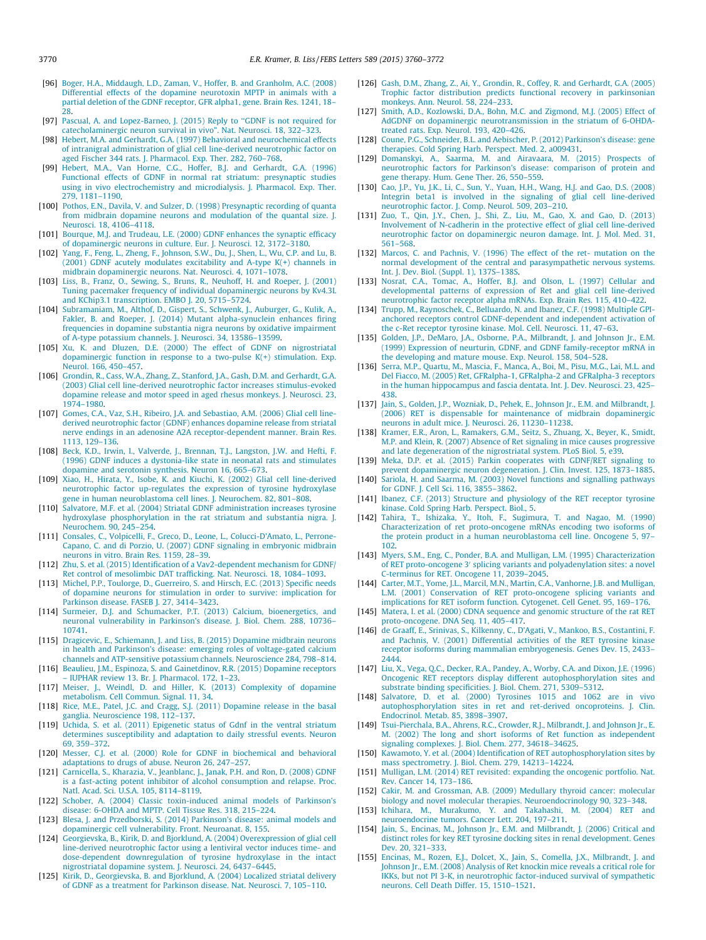- <span id="page-10-0"></span>[96] [Boger, H.A., Middaugh, L.D., Zaman, V., Hoffer, B. and Granholm, A.C. \(2008\)](http://refhub.elsevier.com/S0014-5793(15)00977-1/h0480) [Differential effects of the dopamine neurotoxin MPTP in animals with a](http://refhub.elsevier.com/S0014-5793(15)00977-1/h0480) [partial deletion of the GDNF receptor, GFR alpha1, gene. Brain Res. 1241, 18–](http://refhub.elsevier.com/S0014-5793(15)00977-1/h0480) [28.](http://refhub.elsevier.com/S0014-5793(15)00977-1/h0480)
- [97] [Pascual, A. and Lopez-Barneo, J. \(2015\) Reply to ''GDNF is not required for](http://refhub.elsevier.com/S0014-5793(15)00977-1/h0485) [catecholaminergic neuron survival in vivo". Nat. Neurosci. 18, 322–323.](http://refhub.elsevier.com/S0014-5793(15)00977-1/h0485)
- [98] [Hebert, M.A. and Gerhardt, G.A. \(1997\) Behavioral and neurochemical effects](http://refhub.elsevier.com/S0014-5793(15)00977-1/h0490) [of intranigral administration of glial cell line-derived neurotrophic factor on](http://refhub.elsevier.com/S0014-5793(15)00977-1/h0490) [aged Fischer 344 rats. J. Pharmacol. Exp. Ther. 282, 760–768](http://refhub.elsevier.com/S0014-5793(15)00977-1/h0490).
- [99] [Hebert, M.A., Van Horne, C.G., Hoffer, B.J. and Gerhardt, G.A. \(1996\)](http://refhub.elsevier.com/S0014-5793(15)00977-1/h0495) [Functional effects of GDNF in normal rat striatum: presynaptic studies](http://refhub.elsevier.com/S0014-5793(15)00977-1/h0495) [using in vivo electrochemistry and microdialysis. J. Pharmacol. Exp. Ther.](http://refhub.elsevier.com/S0014-5793(15)00977-1/h0495) [279, 1181–1190.](http://refhub.elsevier.com/S0014-5793(15)00977-1/h0495)
- [100] [Pothos, E.N., Davila, V. and Sulzer, D. \(1998\) Presynaptic recording of quanta](http://refhub.elsevier.com/S0014-5793(15)00977-1/h0500) [from midbrain dopamine neurons and modulation of the quantal size. J.](http://refhub.elsevier.com/S0014-5793(15)00977-1/h0500) [Neurosci. 18, 4106–4118.](http://refhub.elsevier.com/S0014-5793(15)00977-1/h0500)
- [101] [Bourque, M.J. and Trudeau, L.E. \(2000\) GDNF enhances the synaptic efficacy](http://refhub.elsevier.com/S0014-5793(15)00977-1/h0505) [of dopaminergic neurons in culture. Eur. J. Neurosci. 12, 3172–3180](http://refhub.elsevier.com/S0014-5793(15)00977-1/h0505).
- [102] [Yang, F., Feng, L., Zheng, F., Johnson, S.W., Du, J., Shen, L., Wu, C.P. and Lu, B.](http://refhub.elsevier.com/S0014-5793(15)00977-1/h0510) [\(2001\) GDNF acutely modulates excitability and A-type K\(+\) channels in](http://refhub.elsevier.com/S0014-5793(15)00977-1/h0510) [midbrain dopaminergic neurons. Nat. Neurosci. 4, 1071–1078](http://refhub.elsevier.com/S0014-5793(15)00977-1/h0510).
- [103] [Liss, B., Franz, O., Sewing, S., Bruns, R., Neuhoff, H. and Roeper, J. \(2001\)](http://refhub.elsevier.com/S0014-5793(15)00977-1/h0515) [Tuning pacemaker frequency of individual dopaminergic neurons by Kv4.3L](http://refhub.elsevier.com/S0014-5793(15)00977-1/h0515) [and KChip3.1 transcription. EMBO J. 20, 5715–5724](http://refhub.elsevier.com/S0014-5793(15)00977-1/h0515).
- [104] [Subramaniam, M., Althof, D., Gispert, S., Schwenk, J., Auburger, G., Kulik, A.,](http://refhub.elsevier.com/S0014-5793(15)00977-1/h0520) [Fakler, B. and Roeper, J. \(2014\) Mutant alpha-synuclein enhances firing](http://refhub.elsevier.com/S0014-5793(15)00977-1/h0520) [frequencies in dopamine substantia nigra neurons by oxidative impairment](http://refhub.elsevier.com/S0014-5793(15)00977-1/h0520) [of A-type potassium channels. J. Neurosci. 34, 13586–13599](http://refhub.elsevier.com/S0014-5793(15)00977-1/h0520).
- [105] [Xu, K. and Dluzen, D.E. \(2000\) The effect of GDNF on nigrostriatal](http://refhub.elsevier.com/S0014-5793(15)00977-1/h0525) [dopaminergic function in response to a two-pulse K\(+\) stimulation. Exp.](http://refhub.elsevier.com/S0014-5793(15)00977-1/h0525) [Neurol. 166, 450–457.](http://refhub.elsevier.com/S0014-5793(15)00977-1/h0525)
- [106] [Grondin, R., Cass, W.A., Zhang, Z., Stanford, J.A., Gash, D.M. and Gerhardt, G.A.](http://refhub.elsevier.com/S0014-5793(15)00977-1/h0530) [\(2003\) Glial cell line-derived neurotrophic factor increases stimulus-evoked](http://refhub.elsevier.com/S0014-5793(15)00977-1/h0530) [dopamine release and motor speed in aged rhesus monkeys. J. Neurosci. 23,](http://refhub.elsevier.com/S0014-5793(15)00977-1/h0530) [1974–1980](http://refhub.elsevier.com/S0014-5793(15)00977-1/h0530).
- [107] [Gomes, C.A., Vaz, S.H., Ribeiro, J.A. and Sebastiao, A.M. \(2006\) Glial cell line](http://refhub.elsevier.com/S0014-5793(15)00977-1/h0535)[derived neurotrophic factor \(GDNF\) enhances dopamine release from striatal](http://refhub.elsevier.com/S0014-5793(15)00977-1/h0535) [nerve endings in an adenosine A2A receptor-dependent manner. Brain Res.](http://refhub.elsevier.com/S0014-5793(15)00977-1/h0535) [1113, 129–136.](http://refhub.elsevier.com/S0014-5793(15)00977-1/h0535)
- [108] [Beck, K.D., Irwin, I., Valverde, J., Brennan, T.J., Langston, J.W. and Hefti, F.](http://refhub.elsevier.com/S0014-5793(15)00977-1/h0540) [\(1996\) GDNF induces a dystonia-like state in neonatal rats and stimulates](http://refhub.elsevier.com/S0014-5793(15)00977-1/h0540) [dopamine and serotonin synthesis. Neuron 16, 665–673.](http://refhub.elsevier.com/S0014-5793(15)00977-1/h0540)
- [109] [Xiao, H., Hirata, Y., Isobe, K. and Kiuchi, K. \(2002\) Glial cell line-derived](http://refhub.elsevier.com/S0014-5793(15)00977-1/h0545) [neurotrophic factor up-regulates the expression of tyrosine hydroxylase](http://refhub.elsevier.com/S0014-5793(15)00977-1/h0545) [gene in human neuroblastoma cell lines. J. Neurochem. 82, 801–808](http://refhub.elsevier.com/S0014-5793(15)00977-1/h0545).
- [110] [Salvatore, M.F. et al. \(2004\) Striatal GDNF administration increases tyrosine](http://refhub.elsevier.com/S0014-5793(15)00977-1/h0550) [hydroxylase phosphorylation in the rat striatum and substantia nigra. J.](http://refhub.elsevier.com/S0014-5793(15)00977-1/h0550) [Neurochem. 90, 245–254.](http://refhub.elsevier.com/S0014-5793(15)00977-1/h0550)
- [111] [Consales, C., Volpicelli, F., Greco, D., Leone, L., Colucci-D'Amato, L., Perrone-](http://refhub.elsevier.com/S0014-5793(15)00977-1/h0555)[Capano, C. and di Porzio, U. \(2007\) GDNF signaling in embryonic midbrain](http://refhub.elsevier.com/S0014-5793(15)00977-1/h0555) [neurons in vitro. Brain Res. 1159, 28–39.](http://refhub.elsevier.com/S0014-5793(15)00977-1/h0555)
- [112] [Zhu, S. et al. \(2015\) Identification of a Vav2-dependent mechanism for GDNF/](http://refhub.elsevier.com/S0014-5793(15)00977-1/h0560) [Ret control of mesolimbic DAT trafficking. Nat. Neurosci. 18, 1084–1093](http://refhub.elsevier.com/S0014-5793(15)00977-1/h0560).
- [113] [Michel, P.P., Toulorge, D., Guerreiro, S. and Hirsch, E.C. \(2013\) Specific needs](http://refhub.elsevier.com/S0014-5793(15)00977-1/h0565) [of dopamine neurons for stimulation in order to survive: implication for](http://refhub.elsevier.com/S0014-5793(15)00977-1/h0565) [Parkinson disease. FASEB J. 27, 3414–3423.](http://refhub.elsevier.com/S0014-5793(15)00977-1/h0565)
- [114] [Surmeier, D.J. and Schumacker, P.T. \(2013\) Calcium, bioenergetics, and](http://refhub.elsevier.com/S0014-5793(15)00977-1/h0570) [neuronal vulnerability in Parkinson's disease. J. Biol. Chem. 288, 10736–](http://refhub.elsevier.com/S0014-5793(15)00977-1/h0570) [10741](http://refhub.elsevier.com/S0014-5793(15)00977-1/h0570).
- [115] [Dragicevic, E., Schiemann, J. and Liss, B. \(2015\) Dopamine midbrain neurons](http://refhub.elsevier.com/S0014-5793(15)00977-1/h0575) [in health and Parkinson's disease: emerging roles of voltage-gated calcium](http://refhub.elsevier.com/S0014-5793(15)00977-1/h0575) [channels and ATP-sensitive potassium channels. Neuroscience 284, 798–814](http://refhub.elsevier.com/S0014-5793(15)00977-1/h0575).
- [116] [Beaulieu, J.M., Espinoza, S. and Gainetdinov, R.R. \(2015\) Dopamine receptors](http://refhub.elsevier.com/S0014-5793(15)00977-1/h0580) [– IUPHAR review 13. Br. J. Pharmacol. 172, 1–23.](http://refhub.elsevier.com/S0014-5793(15)00977-1/h0580)
- [117] [Meiser, J., Weindl, D. and Hiller, K. \(2013\) Complexity of dopamine](http://refhub.elsevier.com/S0014-5793(15)00977-1/h0585) [metabolism. Cell Commun. Signal. 11, 34](http://refhub.elsevier.com/S0014-5793(15)00977-1/h0585).
- [118] [Rice, M.E., Patel, J.C. and Cragg, S.J. \(2011\) Dopamine release in the basal](http://refhub.elsevier.com/S0014-5793(15)00977-1/h0590) [ganglia. Neuroscience 198, 112–137.](http://refhub.elsevier.com/S0014-5793(15)00977-1/h0590)
- [119] [Uchida, S. et al. \(2011\) Epigenetic status of Gdnf in the ventral striatum](http://refhub.elsevier.com/S0014-5793(15)00977-1/h0595) [determines susceptibility and adaptation to daily stressful events. Neuron](http://refhub.elsevier.com/S0014-5793(15)00977-1/h0595) [69, 359–372.](http://refhub.elsevier.com/S0014-5793(15)00977-1/h0595)
- [120] [Messer, C.J. et al. \(2000\) Role for GDNF in biochemical and behavioral](http://refhub.elsevier.com/S0014-5793(15)00977-1/h0600) [adaptations to drugs of abuse. Neuron 26, 247–257.](http://refhub.elsevier.com/S0014-5793(15)00977-1/h0600)
- [121] [Carnicella, S., Kharazia, V., Jeanblanc, J., Janak, P.H. and Ron, D. \(2008\) GDNF](http://refhub.elsevier.com/S0014-5793(15)00977-1/h0605) [is a fast-acting potent inhibitor of alcohol consumption and relapse. Proc.](http://refhub.elsevier.com/S0014-5793(15)00977-1/h0605) [Natl. Acad. Sci. U.S.A. 105, 8114–8119.](http://refhub.elsevier.com/S0014-5793(15)00977-1/h0605)
- [122] [Schober, A. \(2004\) Classic toxin-induced animal models of Parkinson's](http://refhub.elsevier.com/S0014-5793(15)00977-1/h0610) [disease: 6-OHDA and MPTP. Cell Tissue Res. 318, 215–224](http://refhub.elsevier.com/S0014-5793(15)00977-1/h0610).
- [123] [Blesa, J. and Przedborski, S. \(2014\) Parkinson's disease: animal models and](http://refhub.elsevier.com/S0014-5793(15)00977-1/h0615) [dopaminergic cell vulnerability. Front. Neuroanat. 8, 155.](http://refhub.elsevier.com/S0014-5793(15)00977-1/h0615)
- [124] [Georgievska, B., Kirik, D. and Bjorklund, A. \(2004\) Overexpression of glial cell](http://refhub.elsevier.com/S0014-5793(15)00977-1/h0620) [line-derived neurotrophic factor using a lentiviral vector induces time- and](http://refhub.elsevier.com/S0014-5793(15)00977-1/h0620) [dose-dependent downregulation of tyrosine hydroxylase in the intact](http://refhub.elsevier.com/S0014-5793(15)00977-1/h0620) [nigrostriatal dopamine system. J. Neurosci. 24, 6437–6445](http://refhub.elsevier.com/S0014-5793(15)00977-1/h0620).
- [125] [Kirik, D., Georgievska, B. and Bjorklund, A. \(2004\) Localized striatal delivery](http://refhub.elsevier.com/S0014-5793(15)00977-1/h0625) [of GDNF as a treatment for Parkinson disease. Nat. Neurosci. 7, 105–110.](http://refhub.elsevier.com/S0014-5793(15)00977-1/h0625)
- [126] [Gash, D.M., Zhang, Z., Ai, Y., Grondin, R., Coffey, R. and Gerhardt, G.A. \(2005\)](http://refhub.elsevier.com/S0014-5793(15)00977-1/h0630) [Trophic factor distribution predicts functional recovery in parkinsonian](http://refhub.elsevier.com/S0014-5793(15)00977-1/h0630) [monkeys. Ann. Neurol. 58, 224–233](http://refhub.elsevier.com/S0014-5793(15)00977-1/h0630).
- [127] [Smith, A.D., Kozlowski, D.A., Bohn, M.C. and Zigmond, M.J. \(2005\) Effect of](http://refhub.elsevier.com/S0014-5793(15)00977-1/h0635) [AdGDNF on dopaminergic neurotransmission in the striatum of 6-OHDA](http://refhub.elsevier.com/S0014-5793(15)00977-1/h0635)[treated rats. Exp. Neurol. 193, 420–426.](http://refhub.elsevier.com/S0014-5793(15)00977-1/h0635)
- [128] [Coune, P.G., Schneider, B.L. and Aebischer, P. \(2012\) Parkinson's disease: gene](http://refhub.elsevier.com/S0014-5793(15)00977-1/h0640) [therapies. Cold Spring Harb. Perspect. Med. 2, a009431](http://refhub.elsevier.com/S0014-5793(15)00977-1/h0640).
- [129] [Domanskyi, A., Saarma, M. and Airavaara, M. \(2015\) Prospects of](http://refhub.elsevier.com/S0014-5793(15)00977-1/h0645) [neurotrophic factors for Parkinson's disease: comparison of protein and](http://refhub.elsevier.com/S0014-5793(15)00977-1/h0645) [gene therapy. Hum. Gene Ther. 26, 550–559.](http://refhub.elsevier.com/S0014-5793(15)00977-1/h0645)
- [130] [Cao, J.P., Yu, J.K., Li, C., Sun, Y., Yuan, H.H., Wang, H.J. and Gao, D.S. \(2008\)](http://refhub.elsevier.com/S0014-5793(15)00977-1/h0650) [Integrin beta1 is involved in the signaling of glial cell line-derived](http://refhub.elsevier.com/S0014-5793(15)00977-1/h0650) [neurotrophic factor. J. Comp. Neurol. 509, 203–210](http://refhub.elsevier.com/S0014-5793(15)00977-1/h0650).
- [131] [Zuo, T., Qin, J.Y., Chen, J., Shi, Z., Liu, M., Gao, X. and Gao, D. \(2013\)](http://refhub.elsevier.com/S0014-5793(15)00977-1/h0655) [Involvement of N-cadherin in the protective effect of glial cell line-derived](http://refhub.elsevier.com/S0014-5793(15)00977-1/h0655) [neurotrophic factor on dopaminergic neuron damage. Int. J. Mol. Med. 31,](http://refhub.elsevier.com/S0014-5793(15)00977-1/h0655) [561–568.](http://refhub.elsevier.com/S0014-5793(15)00977-1/h0655)
- [132] [Marcos, C. and Pachnis, V. \(1996\) The effect of the ret- mutation on the](http://refhub.elsevier.com/S0014-5793(15)00977-1/h0660) [normal development of the central and parasympathetic nervous systems.](http://refhub.elsevier.com/S0014-5793(15)00977-1/h0660) [Int. J. Dev. Biol. \(Suppl. 1\), 137S–138S](http://refhub.elsevier.com/S0014-5793(15)00977-1/h0660).
- [133] [Nosrat, C.A., Tomac, A., Hoffer, B.J. and Olson, L. \(1997\) Cellular and](http://refhub.elsevier.com/S0014-5793(15)00977-1/h0665) [developmental patterns of expression of Ret and glial cell line-derived](http://refhub.elsevier.com/S0014-5793(15)00977-1/h0665) [neurotrophic factor receptor alpha mRNAs. Exp. Brain Res. 115, 410–422.](http://refhub.elsevier.com/S0014-5793(15)00977-1/h0665)
- [134] [Trupp, M., Raynoschek, C., Belluardo, N. and Ibanez, C.F. \(1998\) Multiple GPI](http://refhub.elsevier.com/S0014-5793(15)00977-1/h0670)[anchored receptors control GDNF-dependent and independent activation of](http://refhub.elsevier.com/S0014-5793(15)00977-1/h0670) [the c-Ret receptor tyrosine kinase. Mol. Cell. Neurosci. 11, 47–63](http://refhub.elsevier.com/S0014-5793(15)00977-1/h0670).
- [135] [Golden, J.P., DeMaro, J.A., Osborne, P.A., Milbrandt, J. and Johnson Jr., E.M.](http://refhub.elsevier.com/S0014-5793(15)00977-1/h0675) [\(1999\) Expression of neurturin, GDNF, and GDNF family-receptor mRNA in](http://refhub.elsevier.com/S0014-5793(15)00977-1/h0675) [the developing and mature mouse. Exp. Neurol. 158, 504–528](http://refhub.elsevier.com/S0014-5793(15)00977-1/h0675).
- [136] [Serra, M.P., Quartu, M., Mascia, F., Manca, A., Boi, M., Pisu, M.G., Lai, M.L. and](http://refhub.elsevier.com/S0014-5793(15)00977-1/h0680) [Del Fiacco, M. \(2005\) Ret, GFRalpha-1, GFRalpha-2 and GFRalpha-3 receptors](http://refhub.elsevier.com/S0014-5793(15)00977-1/h0680) [in the human hippocampus and fascia dentata. Int. J. Dev. Neurosci. 23, 425–](http://refhub.elsevier.com/S0014-5793(15)00977-1/h0680) [438](http://refhub.elsevier.com/S0014-5793(15)00977-1/h0680).
- [137] [Jain, S., Golden, J.P., Wozniak, D., Pehek, E., Johnson Jr., E.M. and Milbrandt, J.](http://refhub.elsevier.com/S0014-5793(15)00977-1/h0685) [\(2006\) RET is dispensable for maintenance of midbrain dopaminergic](http://refhub.elsevier.com/S0014-5793(15)00977-1/h0685) [neurons in adult mice. J. Neurosci. 26, 11230–11238](http://refhub.elsevier.com/S0014-5793(15)00977-1/h0685).
- [138] [Kramer, E.R., Aron, L., Ramakers, G.M., Seitz, S., Zhuang, X., Beyer, K., Smidt,](http://refhub.elsevier.com/S0014-5793(15)00977-1/h0690) [M.P. and Klein, R. \(2007\) Absence of Ret signaling in mice causes progressive](http://refhub.elsevier.com/S0014-5793(15)00977-1/h0690) [and late degeneration of the nigrostriatal system. PLoS Biol. 5, e39.](http://refhub.elsevier.com/S0014-5793(15)00977-1/h0690)
- [139] [Meka, D.P. et al. \(2015\) Parkin cooperates with GDNF/RET signaling to](http://refhub.elsevier.com/S0014-5793(15)00977-1/h0695) [prevent dopaminergic neuron degeneration. J. Clin. Invest. 125, 1873–1885](http://refhub.elsevier.com/S0014-5793(15)00977-1/h0695).
- [140] [Sariola, H. and Saarma, M. \(2003\) Novel functions and signalling pathways](http://refhub.elsevier.com/S0014-5793(15)00977-1/h0700) [for GDNF. J. Cell Sci. 116, 3855–3862.](http://refhub.elsevier.com/S0014-5793(15)00977-1/h0700)
- [141] [Ibanez, C.F. \(2013\) Structure and physiology of the RET receptor tyrosine](http://refhub.elsevier.com/S0014-5793(15)00977-1/h0705) [kinase. Cold Spring Harb. Perspect. Biol., 5](http://refhub.elsevier.com/S0014-5793(15)00977-1/h0705).
- [142] [Tahira, T., Ishizaka, Y., Itoh, F., Sugimura, T. and Nagao, M. \(1990\)](http://refhub.elsevier.com/S0014-5793(15)00977-1/h0710) [Characterization of ret proto-oncogene mRNAs encoding two isoforms of](http://refhub.elsevier.com/S0014-5793(15)00977-1/h0710) [the protein product in a human neuroblastoma cell line. Oncogene 5, 97–](http://refhub.elsevier.com/S0014-5793(15)00977-1/h0710) [102](http://refhub.elsevier.com/S0014-5793(15)00977-1/h0710).
- [143] [Myers, S.M., Eng, C., Ponder, B.A. and Mulligan, L.M. \(1995\) Characterization](http://refhub.elsevier.com/S0014-5793(15)00977-1/h0715) [of RET proto-oncogene 3](http://refhub.elsevier.com/S0014-5793(15)00977-1/h0715)' [splicing variants and polyadenylation sites: a novel](http://refhub.elsevier.com/S0014-5793(15)00977-1/h0715) [C-terminus for RET. Oncogene 11, 2039–2045](http://refhub.elsevier.com/S0014-5793(15)00977-1/h0715).
- [144] [Carter, M.T., Yome, J.L., Marcil, M.N., Martin, C.A., Vanhorne, J.B. and Mulligan,](http://refhub.elsevier.com/S0014-5793(15)00977-1/h0720) [L.M. \(2001\) Conservation of RET proto-oncogene splicing variants and](http://refhub.elsevier.com/S0014-5793(15)00977-1/h0720) [implications for RET isoform function. Cytogenet. Cell Genet. 95, 169–176](http://refhub.elsevier.com/S0014-5793(15)00977-1/h0720).
- [145] [Matera, I. et al. \(2000\) CDNA sequence and genomic structure of the rat RET](http://refhub.elsevier.com/S0014-5793(15)00977-1/h0725) [proto-oncogene. DNA Seq. 11, 405–417.](http://refhub.elsevier.com/S0014-5793(15)00977-1/h0725)
- [146] [de Graaff, E., Srinivas, S., Kilkenny, C., D'Agati, V., Mankoo, B.S., Costantini, F.](http://refhub.elsevier.com/S0014-5793(15)00977-1/h0730) [and Pachnis, V. \(2001\) Differential activities of the RET tyrosine kinase](http://refhub.elsevier.com/S0014-5793(15)00977-1/h0730) [receptor isoforms during mammalian embryogenesis. Genes Dev. 15, 2433–](http://refhub.elsevier.com/S0014-5793(15)00977-1/h0730) [2444](http://refhub.elsevier.com/S0014-5793(15)00977-1/h0730).
- [147] [Liu, X., Vega, Q.C., Decker, R.A., Pandey, A., Worby, C.A. and Dixon, J.E. \(1996\)](http://refhub.elsevier.com/S0014-5793(15)00977-1/h0735) [Oncogenic RET receptors display different autophosphorylation sites and](http://refhub.elsevier.com/S0014-5793(15)00977-1/h0735) [substrate binding specificities. J. Biol. Chem. 271, 5309–5312.](http://refhub.elsevier.com/S0014-5793(15)00977-1/h0735)
- [148] [Salvatore, D. et al. \(2000\) Tyrosines 1015 and 1062 are in vivo](http://refhub.elsevier.com/S0014-5793(15)00977-1/h0740) [autophosphorylation sites in ret and ret-derived oncoproteins. J. Clin.](http://refhub.elsevier.com/S0014-5793(15)00977-1/h0740) [Endocrinol. Metab. 85, 3898–3907.](http://refhub.elsevier.com/S0014-5793(15)00977-1/h0740)
- [149] [Tsui-Pierchala, B.A., Ahrens, R.C., Crowder, R.J., Milbrandt, J. and Johnson Jr., E.](http://refhub.elsevier.com/S0014-5793(15)00977-1/h0745) [M. \(2002\) The long and short isoforms of Ret function as independent](http://refhub.elsevier.com/S0014-5793(15)00977-1/h0745) [signaling complexes. J. Biol. Chem. 277, 34618–34625](http://refhub.elsevier.com/S0014-5793(15)00977-1/h0745).
- [150] [Kawamoto, Y. et al. \(2004\) Identification of RET autophosphorylation sites by](http://refhub.elsevier.com/S0014-5793(15)00977-1/h0750) [mass spectrometry. J. Biol. Chem. 279, 14213–14224.](http://refhub.elsevier.com/S0014-5793(15)00977-1/h0750)
- [151] [Mulligan, L.M. \(2014\) RET revisited: expanding the oncogenic portfolio. Nat.](http://refhub.elsevier.com/S0014-5793(15)00977-1/h0755) [Rev. Cancer 14, 173–186](http://refhub.elsevier.com/S0014-5793(15)00977-1/h0755).
- [152] [Cakir, M. and Grossman, A.B. \(2009\) Medullary thyroid cancer: molecular](http://refhub.elsevier.com/S0014-5793(15)00977-1/h0760) [biology and novel molecular therapies. Neuroendocrinology 90, 323–348](http://refhub.elsevier.com/S0014-5793(15)00977-1/h0760).
- [153] [Ichihara, M., Murakumo, Y. and Takahashi, M. \(2004\) RET and](http://refhub.elsevier.com/S0014-5793(15)00977-1/h0765) [neuroendocrine tumors. Cancer Lett. 204, 197–211.](http://refhub.elsevier.com/S0014-5793(15)00977-1/h0765)
- [154] [Jain, S., Encinas, M., Johnson Jr., E.M. and Milbrandt, J. \(2006\) Critical and](http://refhub.elsevier.com/S0014-5793(15)00977-1/h0770) [distinct roles for key RET tyrosine docking sites in renal development. Genes](http://refhub.elsevier.com/S0014-5793(15)00977-1/h0770) [Dev. 20, 321–333](http://refhub.elsevier.com/S0014-5793(15)00977-1/h0770).
- [155] [Encinas, M., Rozen, E.J., Dolcet, X., Jain, S., Comella, J.X., Milbrandt, J. and](http://refhub.elsevier.com/S0014-5793(15)00977-1/h0775) [Johnson Jr., E.M. \(2008\) Analysis of Ret knockin mice reveals a critical role for](http://refhub.elsevier.com/S0014-5793(15)00977-1/h0775) [IKKs, but not PI 3-K, in neurotrophic factor-induced survival of sympathetic](http://refhub.elsevier.com/S0014-5793(15)00977-1/h0775) [neurons. Cell Death Differ. 15, 1510–1521](http://refhub.elsevier.com/S0014-5793(15)00977-1/h0775).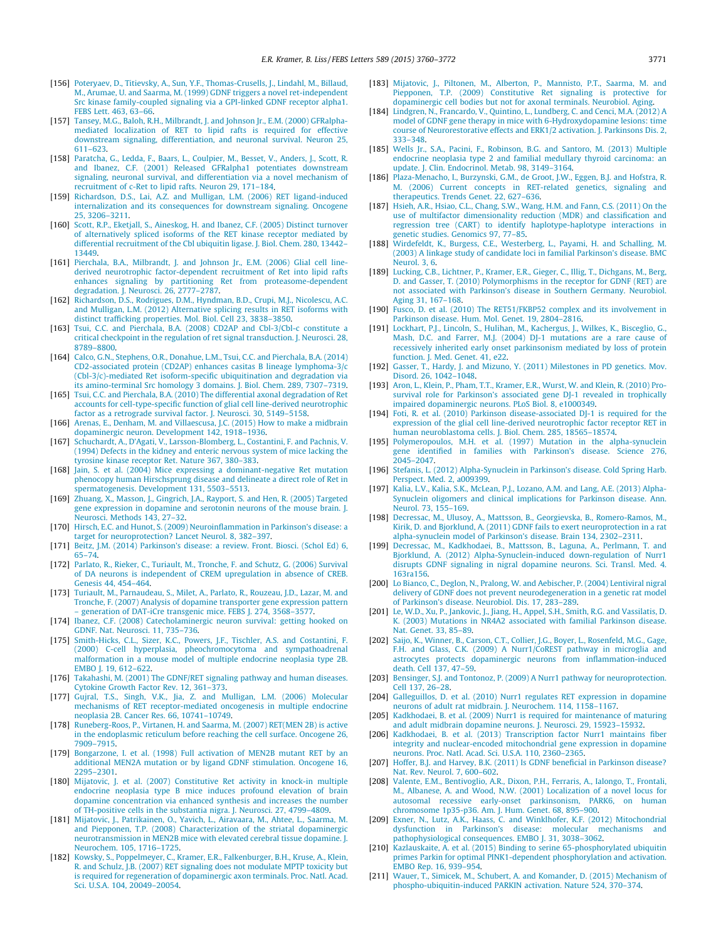- <span id="page-11-0"></span>[156] [Poteryaev, D., Titievsky, A., Sun, Y.F., Thomas-Crusells, J., Lindahl, M., Billaud,](http://refhub.elsevier.com/S0014-5793(15)00977-1/h0780) [M., Arumae, U. and Saarma, M. \(1999\) GDNF triggers a novel ret-independent](http://refhub.elsevier.com/S0014-5793(15)00977-1/h0780) [Src kinase family-coupled signaling via a GPI-linked GDNF receptor alpha1.](http://refhub.elsevier.com/S0014-5793(15)00977-1/h0780) [FEBS Lett. 463, 63–66.](http://refhub.elsevier.com/S0014-5793(15)00977-1/h0780)
- [157] [Tansey, M.G., Baloh, R.H., Milbrandt, J. and Johnson Jr., E.M. \(2000\) GFRalpha](http://refhub.elsevier.com/S0014-5793(15)00977-1/h0785)[mediated localization of RET to lipid rafts is required for effective](http://refhub.elsevier.com/S0014-5793(15)00977-1/h0785) [downstream signaling, differentiation, and neuronal survival. Neuron 25,](http://refhub.elsevier.com/S0014-5793(15)00977-1/h0785) [611–623.](http://refhub.elsevier.com/S0014-5793(15)00977-1/h0785)
- [158] [Paratcha, G., Ledda, F., Baars, L., Coulpier, M., Besset, V., Anders, J., Scott, R.](http://refhub.elsevier.com/S0014-5793(15)00977-1/h0790) [and Ibanez, C.F. \(2001\) Released GFRalpha1 potentiates downstream](http://refhub.elsevier.com/S0014-5793(15)00977-1/h0790) [signaling, neuronal survival, and differentiation via a novel mechanism of](http://refhub.elsevier.com/S0014-5793(15)00977-1/h0790) [recruitment of c-Ret to lipid rafts. Neuron 29, 171–184.](http://refhub.elsevier.com/S0014-5793(15)00977-1/h0790)
- [159] [Richardson, D.S., Lai, A.Z. and Mulligan, L.M. \(2006\) RET ligand-induced](http://refhub.elsevier.com/S0014-5793(15)00977-1/h0795) [internalization and its consequences for downstream signaling. Oncogene](http://refhub.elsevier.com/S0014-5793(15)00977-1/h0795) [25, 3206–3211](http://refhub.elsevier.com/S0014-5793(15)00977-1/h0795).
- [160] [Scott, R.P., Eketjall, S., Aineskog, H. and Ibanez, C.F. \(2005\) Distinct turnover](http://refhub.elsevier.com/S0014-5793(15)00977-1/h0800) [of alternatively spliced isoforms of the RET kinase receptor mediated by](http://refhub.elsevier.com/S0014-5793(15)00977-1/h0800) [differential recruitment of the Cbl ubiquitin ligase. J. Biol. Chem. 280, 13442–](http://refhub.elsevier.com/S0014-5793(15)00977-1/h0800) [13449.](http://refhub.elsevier.com/S0014-5793(15)00977-1/h0800)
- [161] [Pierchala, B.A., Milbrandt, J. and Johnson Jr., E.M. \(2006\) Glial cell line](http://refhub.elsevier.com/S0014-5793(15)00977-1/h0805)[derived neurotrophic factor-dependent recruitment of Ret into lipid rafts](http://refhub.elsevier.com/S0014-5793(15)00977-1/h0805) [enhances signaling by partitioning Ret from proteasome-dependent](http://refhub.elsevier.com/S0014-5793(15)00977-1/h0805) [degradation. J. Neurosci. 26, 2777–2787](http://refhub.elsevier.com/S0014-5793(15)00977-1/h0805).
- [162] [Richardson, D.S., Rodrigues, D.M., Hyndman, B.D., Crupi, M.J., Nicolescu, A.C.](http://refhub.elsevier.com/S0014-5793(15)00977-1/h0810) [and Mulligan, L.M. \(2012\) Alternative splicing results in RET isoforms with](http://refhub.elsevier.com/S0014-5793(15)00977-1/h0810) [distinct trafficking properties. Mol. Biol. Cell 23, 3838–3850](http://refhub.elsevier.com/S0014-5793(15)00977-1/h0810).
- [163] [Tsui, C.C. and Pierchala, B.A. \(2008\) CD2AP and Cbl-3/Cbl-c constitute a](http://refhub.elsevier.com/S0014-5793(15)00977-1/h0815) [critical checkpoint in the regulation of ret signal transduction. J. Neurosci. 28,](http://refhub.elsevier.com/S0014-5793(15)00977-1/h0815) [8789–8800](http://refhub.elsevier.com/S0014-5793(15)00977-1/h0815).
- [164] [Calco, G.N., Stephens, O.R., Donahue, L.M., Tsui, C.C. and Pierchala, B.A. \(2014\)](http://refhub.elsevier.com/S0014-5793(15)00977-1/h0820) [CD2-associated protein \(CD2AP\) enhances casitas B lineage lymphoma-3/c](http://refhub.elsevier.com/S0014-5793(15)00977-1/h0820) [\(Cbl-3/c\)-mediated Ret isoform-specific ubiquitination and degradation via](http://refhub.elsevier.com/S0014-5793(15)00977-1/h0820) [its amino-terminal Src homology 3 domains. J. Biol. Chem. 289, 7307–7319](http://refhub.elsevier.com/S0014-5793(15)00977-1/h0820).
- [165] [Tsui, C.C. and Pierchala, B.A. \(2010\) The differential axonal degradation of Ret](http://refhub.elsevier.com/S0014-5793(15)00977-1/h0825) [accounts for cell-type-specific function of glial cell line-derived neurotrophic](http://refhub.elsevier.com/S0014-5793(15)00977-1/h0825) [factor as a retrograde survival factor. J. Neurosci. 30, 5149–5158](http://refhub.elsevier.com/S0014-5793(15)00977-1/h0825).
- [166] [Arenas, E., Denham, M. and Villaescusa, J.C. \(2015\) How to make a midbrain](http://refhub.elsevier.com/S0014-5793(15)00977-1/h0830) [dopaminergic neuron. Development 142, 1918–1936.](http://refhub.elsevier.com/S0014-5793(15)00977-1/h0830)
- [167] [Schuchardt, A., D'Agati, V., Larsson-Blomberg, L., Costantini, F. and Pachnis, V.](http://refhub.elsevier.com/S0014-5793(15)00977-1/h0835) [\(1994\) Defects in the kidney and enteric nervous system of mice lacking the](http://refhub.elsevier.com/S0014-5793(15)00977-1/h0835) [tyrosine kinase receptor Ret. Nature 367, 380–383.](http://refhub.elsevier.com/S0014-5793(15)00977-1/h0835)
- [168] [Jain, S. et al. \(2004\) Mice expressing a dominant-negative Ret mutation](http://refhub.elsevier.com/S0014-5793(15)00977-1/h0840) [phenocopy human Hirschsprung disease and delineate a direct role of Ret in](http://refhub.elsevier.com/S0014-5793(15)00977-1/h0840) [spermatogenesis. Development 131, 5503–5513](http://refhub.elsevier.com/S0014-5793(15)00977-1/h0840).
- [169] [Zhuang, X., Masson, J., Gingrich, J.A., Rayport, S. and Hen, R. \(2005\) Targeted](http://refhub.elsevier.com/S0014-5793(15)00977-1/h0845) [gene expression in dopamine and serotonin neurons of the mouse brain. J.](http://refhub.elsevier.com/S0014-5793(15)00977-1/h0845) [Neurosci. Methods 143, 27–32.](http://refhub.elsevier.com/S0014-5793(15)00977-1/h0845)
- [170] [Hirsch, E.C. and Hunot, S. \(2009\) Neuroinflammation in Parkinson's disease: a](http://refhub.elsevier.com/S0014-5793(15)00977-1/h0850) [target for neuroprotection? Lancet Neurol. 8, 382–397](http://refhub.elsevier.com/S0014-5793(15)00977-1/h0850).
- [171] [Beitz, J.M. \(2014\) Parkinson's disease: a review. Front. Biosci. \(Schol Ed\) 6,](http://refhub.elsevier.com/S0014-5793(15)00977-1/h0855) [65–74.](http://refhub.elsevier.com/S0014-5793(15)00977-1/h0855)
- [172] [Parlato, R., Rieker, C., Turiault, M., Tronche, F. and Schutz, G. \(2006\) Survival](http://refhub.elsevier.com/S0014-5793(15)00977-1/h0860) [of DA neurons is independent of CREM upregulation in absence of CREB.](http://refhub.elsevier.com/S0014-5793(15)00977-1/h0860) [Genesis 44, 454–464](http://refhub.elsevier.com/S0014-5793(15)00977-1/h0860).
- [173] [Turiault, M., Parnaudeau, S., Milet, A., Parlato, R., Rouzeau, J.D., Lazar, M. and](http://refhub.elsevier.com/S0014-5793(15)00977-1/h0865) [Tronche, F. \(2007\) Analysis of dopamine transporter gene expression pattern](http://refhub.elsevier.com/S0014-5793(15)00977-1/h0865) [– generation of DAT-iCre transgenic mice. FEBS J. 274, 3568–3577](http://refhub.elsevier.com/S0014-5793(15)00977-1/h0865).
- [174] [Ibanez, C.F. \(2008\) Catecholaminergic neuron survival: getting hooked on](http://refhub.elsevier.com/S0014-5793(15)00977-1/h0870) [GDNF. Nat. Neurosci. 11, 735–736.](http://refhub.elsevier.com/S0014-5793(15)00977-1/h0870)
- [175] [Smith-Hicks, C.L., Sizer, K.C., Powers, J.F., Tischler, A.S. and Costantini, F.](http://refhub.elsevier.com/S0014-5793(15)00977-1/h0875) [\(2000\) C-cell hyperplasia, pheochromocytoma and sympathoadrenal](http://refhub.elsevier.com/S0014-5793(15)00977-1/h0875) [malformation in a mouse model of multiple endocrine neoplasia type 2B.](http://refhub.elsevier.com/S0014-5793(15)00977-1/h0875) [EMBO J. 19, 612–622](http://refhub.elsevier.com/S0014-5793(15)00977-1/h0875).
- [176] [Takahashi, M. \(2001\) The GDNF/RET signaling pathway and human diseases.](http://refhub.elsevier.com/S0014-5793(15)00977-1/h0880) [Cytokine Growth Factor Rev. 12, 361–373](http://refhub.elsevier.com/S0014-5793(15)00977-1/h0880).
- [177] [Gujral, T.S., Singh, V.K., Jia, Z. and Mulligan, L.M. \(2006\) Molecular](http://refhub.elsevier.com/S0014-5793(15)00977-1/h0885) [mechanisms of RET receptor-mediated oncogenesis in multiple endocrine](http://refhub.elsevier.com/S0014-5793(15)00977-1/h0885) [neoplasia 2B. Cancer Res. 66, 10741–10749.](http://refhub.elsevier.com/S0014-5793(15)00977-1/h0885)
- [178] [Runeberg-Roos, P., Virtanen, H. and Saarma, M. \(2007\) RET\(MEN 2B\) is active](http://refhub.elsevier.com/S0014-5793(15)00977-1/h0890) [in the endoplasmic reticulum before reaching the cell surface. Oncogene 26,](http://refhub.elsevier.com/S0014-5793(15)00977-1/h0890) [7909–7915](http://refhub.elsevier.com/S0014-5793(15)00977-1/h0890).
- [179] [Bongarzone, I. et al. \(1998\) Full activation of MEN2B mutant RET by an](http://refhub.elsevier.com/S0014-5793(15)00977-1/h0895) [additional MEN2A mutation or by ligand GDNF stimulation. Oncogene 16,](http://refhub.elsevier.com/S0014-5793(15)00977-1/h0895) [2295–2301](http://refhub.elsevier.com/S0014-5793(15)00977-1/h0895).
- [180] [Mijatovic, J. et al. \(2007\) Constitutive Ret activity in knock-in multiple](http://refhub.elsevier.com/S0014-5793(15)00977-1/h0900) [endocrine neoplasia type B mice induces profound elevation of brain](http://refhub.elsevier.com/S0014-5793(15)00977-1/h0900) [dopamine concentration via enhanced synthesis and increases the number](http://refhub.elsevier.com/S0014-5793(15)00977-1/h0900) [of TH-positive cells in the substantia nigra. J. Neurosci. 27, 4799–4809.](http://refhub.elsevier.com/S0014-5793(15)00977-1/h0900)
- [181] [Mijatovic, J., Patrikainen, O., Yavich, L., Airavaara, M., Ahtee, L., Saarma, M.](http://refhub.elsevier.com/S0014-5793(15)00977-1/h0905) [and Piepponen, T.P. \(2008\) Characterization of the striatal dopaminergic](http://refhub.elsevier.com/S0014-5793(15)00977-1/h0905) [neurotransmission in MEN2B mice with elevated cerebral tissue dopamine. J.](http://refhub.elsevier.com/S0014-5793(15)00977-1/h0905) [Neurochem. 105, 1716–1725.](http://refhub.elsevier.com/S0014-5793(15)00977-1/h0905)
- [182] [Kowsky, S., Poppelmeyer, C., Kramer, E.R., Falkenburger, B.H., Kruse, A., Klein,](http://refhub.elsevier.com/S0014-5793(15)00977-1/h0910) [R. and Schulz, J.B. \(2007\) RET signaling does not modulate MPTP toxicity but](http://refhub.elsevier.com/S0014-5793(15)00977-1/h0910) [is required for regeneration of dopaminergic axon terminals. Proc. Natl. Acad.](http://refhub.elsevier.com/S0014-5793(15)00977-1/h0910) [Sci. U.S.A. 104, 20049–20054.](http://refhub.elsevier.com/S0014-5793(15)00977-1/h0910)
- [183] [Mijatovic, J., Piltonen, M., Alberton, P., Mannisto, P.T., Saarma, M. and](http://refhub.elsevier.com/S0014-5793(15)00977-1/h0915) [Piepponen, T.P. \(2009\) Constitutive Ret signaling is protective for](http://refhub.elsevier.com/S0014-5793(15)00977-1/h0915) [dopaminergic cell bodies but not for axonal terminals. Neurobiol. Aging.](http://refhub.elsevier.com/S0014-5793(15)00977-1/h0915)
- [184] [Lindgren, N., Francardo, V., Quintino, L., Lundberg, C. and Cenci, M.A. \(2012\) A](http://refhub.elsevier.com/S0014-5793(15)00977-1/h0920) [model of GDNF gene therapy in mice with 6-Hydroxydopamine lesions: time](http://refhub.elsevier.com/S0014-5793(15)00977-1/h0920) [course of Neurorestorative effects and ERK1/2 activation. J. Parkinsons Dis. 2,](http://refhub.elsevier.com/S0014-5793(15)00977-1/h0920) [333–348.](http://refhub.elsevier.com/S0014-5793(15)00977-1/h0920)
- [185] [Wells Jr., S.A., Pacini, F., Robinson, B.G. and Santoro, M. \(2013\) Multiple](http://refhub.elsevier.com/S0014-5793(15)00977-1/h0925) [endocrine neoplasia type 2 and familial medullary thyroid carcinoma: an](http://refhub.elsevier.com/S0014-5793(15)00977-1/h0925) [update. J. Clin. Endocrinol. Metab. 98, 3149–3164.](http://refhub.elsevier.com/S0014-5793(15)00977-1/h0925)
- [186] [Plaza-Menacho, I., Burzynski, G.M., de Groot, J.W., Eggen, B.J. and Hofstra, R.](http://refhub.elsevier.com/S0014-5793(15)00977-1/h0930) [M. \(2006\) Current concepts in RET-related genetics, signaling and](http://refhub.elsevier.com/S0014-5793(15)00977-1/h0930) [therapeutics. Trends Genet. 22, 627–636](http://refhub.elsevier.com/S0014-5793(15)00977-1/h0930).
- [187] [Hsieh, A.R., Hsiao, C.L., Chang, S.W., Wang, H.M. and Fann, C.S. \(2011\) On the](http://refhub.elsevier.com/S0014-5793(15)00977-1/h0935) [use of multifactor dimensionality reduction \(MDR\) and classification and](http://refhub.elsevier.com/S0014-5793(15)00977-1/h0935) [regression tree \(CART\) to identify haplotype-haplotype interactions in](http://refhub.elsevier.com/S0014-5793(15)00977-1/h0935) [genetic studies. Genomics 97, 77–85](http://refhub.elsevier.com/S0014-5793(15)00977-1/h0935).
- [188] [Wirdefeldt, K., Burgess, C.E., Westerberg, L., Payami, H. and Schalling, M.](http://refhub.elsevier.com/S0014-5793(15)00977-1/h0940) [\(2003\) A linkage study of candidate loci in familial Parkinson's disease. BMC](http://refhub.elsevier.com/S0014-5793(15)00977-1/h0940) [Neurol. 3, 6](http://refhub.elsevier.com/S0014-5793(15)00977-1/h0940).
- [189] [Lucking, C.B., Lichtner, P., Kramer, E.R., Gieger, C., Illig, T., Dichgans, M., Berg,](http://refhub.elsevier.com/S0014-5793(15)00977-1/h0945) [D. and Gasser, T. \(2010\) Polymorphisms in the receptor for GDNF \(RET\) are](http://refhub.elsevier.com/S0014-5793(15)00977-1/h0945) [not associated with Parkinson's disease in Southern Germany. Neurobiol.](http://refhub.elsevier.com/S0014-5793(15)00977-1/h0945) [Aging 31, 167–168](http://refhub.elsevier.com/S0014-5793(15)00977-1/h0945).
- [190] [Fusco, D. et al. \(2010\) The RET51/FKBP52 complex and its involvement in](http://refhub.elsevier.com/S0014-5793(15)00977-1/h0950) [Parkinson disease. Hum. Mol. Genet. 19, 2804–2816.](http://refhub.elsevier.com/S0014-5793(15)00977-1/h0950)
- [191] [Lockhart, P.J., Lincoln, S., Hulihan, M., Kachergus, J., Wilkes, K., Bisceglio, G.,](http://refhub.elsevier.com/S0014-5793(15)00977-1/h0955) [Mash, D.C. and Farrer, M.J. \(2004\) DJ-1 mutations are a rare cause of](http://refhub.elsevier.com/S0014-5793(15)00977-1/h0955) [recessively inherited early onset parkinsonism mediated by loss of protein](http://refhub.elsevier.com/S0014-5793(15)00977-1/h0955) [function. J. Med. Genet. 41, e22.](http://refhub.elsevier.com/S0014-5793(15)00977-1/h0955)
- [192] [Gasser, T., Hardy, J. and Mizuno, Y. \(2011\) Milestones in PD genetics. Mov.](http://refhub.elsevier.com/S0014-5793(15)00977-1/h0960) [Disord. 26, 1042–1048.](http://refhub.elsevier.com/S0014-5793(15)00977-1/h0960)
- [193] [Aron, L., Klein, P., Pham, T.T., Kramer, E.R., Wurst, W. and Klein, R. \(2010\) Pro](http://refhub.elsevier.com/S0014-5793(15)00977-1/h0965)[survival role for Parkinson's associated gene DJ-1 revealed in trophically](http://refhub.elsevier.com/S0014-5793(15)00977-1/h0965) [impaired dopaminergic neurons. PLoS Biol. 8, e1000349.](http://refhub.elsevier.com/S0014-5793(15)00977-1/h0965)
- [194] [Foti, R. et al. \(2010\) Parkinson disease-associated DJ-1 is required for the](http://refhub.elsevier.com/S0014-5793(15)00977-1/h0970) [expression of the glial cell line-derived neurotrophic factor receptor RET in](http://refhub.elsevier.com/S0014-5793(15)00977-1/h0970) [human neuroblastoma cells. J. Biol. Chem. 285, 18565–18574](http://refhub.elsevier.com/S0014-5793(15)00977-1/h0970).
- [195] [Polymeropoulos, M.H. et al. \(1997\) Mutation in the alpha-synuclein](http://refhub.elsevier.com/S0014-5793(15)00977-1/h0975) [gene identified in families with Parkinson's disease. Science 276,](http://refhub.elsevier.com/S0014-5793(15)00977-1/h0975) [2045–2047](http://refhub.elsevier.com/S0014-5793(15)00977-1/h0975).
- [196] [Stefanis, L. \(2012\) Alpha-Synuclein in Parkinson's disease. Cold Spring Harb.](http://refhub.elsevier.com/S0014-5793(15)00977-1/h0980) [Perspect. Med. 2, a009399.](http://refhub.elsevier.com/S0014-5793(15)00977-1/h0980)
- [197] [Kalia, L.V., Kalia, S.K., McLean, P.J., Lozano, A.M. and Lang, A.E. \(2013\) Alpha-](http://refhub.elsevier.com/S0014-5793(15)00977-1/h0985)[Synuclein oligomers and clinical implications for Parkinson disease. Ann.](http://refhub.elsevier.com/S0014-5793(15)00977-1/h0985) [Neurol. 73, 155–169.](http://refhub.elsevier.com/S0014-5793(15)00977-1/h0985)
- [198] [Decressac, M., Ulusoy, A., Mattsson, B., Georgievska, B., Romero-Ramos, M.,](http://refhub.elsevier.com/S0014-5793(15)00977-1/h0990) [Kirik, D. and Bjorklund, A. \(2011\) GDNF fails to exert neuroprotection in a rat](http://refhub.elsevier.com/S0014-5793(15)00977-1/h0990) [alpha-synuclein model of Parkinson's disease. Brain 134, 2302–2311.](http://refhub.elsevier.com/S0014-5793(15)00977-1/h0990)
- [199] [Decressac, M., Kadkhodaei, B., Mattsson, B., Laguna, A., Perlmann, T. and](http://refhub.elsevier.com/S0014-5793(15)00977-1/h0995) [Bjorklund, A. \(2012\) Alpha-Synuclein-induced down-regulation of Nurr1](http://refhub.elsevier.com/S0014-5793(15)00977-1/h0995) [disrupts GDNF signaling in nigral dopamine neurons. Sci. Transl. Med. 4.](http://refhub.elsevier.com/S0014-5793(15)00977-1/h0995) [163ra156.](http://refhub.elsevier.com/S0014-5793(15)00977-1/h0995)
- [200] [Lo Bianco, C., Deglon, N., Pralong, W. and Aebischer, P. \(2004\) Lentiviral nigral](http://refhub.elsevier.com/S0014-5793(15)00977-1/h1000) [delivery of GDNF does not prevent neurodegeneration in a genetic rat model](http://refhub.elsevier.com/S0014-5793(15)00977-1/h1000) [of Parkinson's disease. Neurobiol. Dis. 17, 283–289.](http://refhub.elsevier.com/S0014-5793(15)00977-1/h1000)
- [201] [Le, W.D., Xu, P., Jankovic, J., Jiang, H., Appel, S.H., Smith, R.G. and Vassilatis, D.](http://refhub.elsevier.com/S0014-5793(15)00977-1/h1005) [K. \(2003\) Mutations in NR4A2 associated with familial Parkinson disease.](http://refhub.elsevier.com/S0014-5793(15)00977-1/h1005) [Nat. Genet. 33, 85–89](http://refhub.elsevier.com/S0014-5793(15)00977-1/h1005).
- [202] [Saijo, K., Winner, B., Carson, C.T., Collier, J.G., Boyer, L., Rosenfeld, M.G., Gage,](http://refhub.elsevier.com/S0014-5793(15)00977-1/h1010) [F.H. and Glass, C.K. \(2009\) A Nurr1/CoREST pathway in microglia and](http://refhub.elsevier.com/S0014-5793(15)00977-1/h1010) [astrocytes protects dopaminergic neurons from inflammation-induced](http://refhub.elsevier.com/S0014-5793(15)00977-1/h1010) [death. Cell 137, 47–59](http://refhub.elsevier.com/S0014-5793(15)00977-1/h1010).
- [203] [Bensinger, S.J. and Tontonoz, P. \(2009\) A Nurr1 pathway for neuroprotection.](http://refhub.elsevier.com/S0014-5793(15)00977-1/h1015) [Cell 137, 26–28](http://refhub.elsevier.com/S0014-5793(15)00977-1/h1015).
- [204] [Galleguillos, D. et al. \(2010\) Nurr1 regulates RET expression in dopamine](http://refhub.elsevier.com/S0014-5793(15)00977-1/h1020) neurons of adult rat midbrain. I. Neurochem. 114, 1158–1167.
- [205] [Kadkhodaei, B. et al. \(2009\) Nurr1 is required for maintenance of maturing](http://refhub.elsevier.com/S0014-5793(15)00977-1/h1025) [and adult midbrain dopamine neurons. J. Neurosci. 29, 15923–15932.](http://refhub.elsevier.com/S0014-5793(15)00977-1/h1025)
- [206] [Kadkhodaei, B. et al. \(2013\) Transcription factor Nurr1 maintains fiber](http://refhub.elsevier.com/S0014-5793(15)00977-1/h1030) [integrity and nuclear-encoded mitochondrial gene expression in dopamine](http://refhub.elsevier.com/S0014-5793(15)00977-1/h1030) [neurons. Proc. Natl. Acad. Sci. U.S.A. 110, 2360–2365](http://refhub.elsevier.com/S0014-5793(15)00977-1/h1030).
- [207] [Hoffer, B.J. and Harvey, B.K. \(2011\) Is GDNF beneficial in Parkinson disease?](http://refhub.elsevier.com/S0014-5793(15)00977-1/h1035) [Nat. Rev. Neurol. 7, 600–602.](http://refhub.elsevier.com/S0014-5793(15)00977-1/h1035)
- [208] [Valente, E.M., Bentivoglio, A.R., Dixon, P.H., Ferraris, A., Ialongo, T., Frontali,](http://refhub.elsevier.com/S0014-5793(15)00977-1/h1040) [M., Albanese, A. and Wood, N.W. \(2001\) Localization of a novel locus for](http://refhub.elsevier.com/S0014-5793(15)00977-1/h1040) [autosomal recessive early-onset parkinsonism, PARK6, on human](http://refhub.elsevier.com/S0014-5793(15)00977-1/h1040) [chromosome 1p35-p36. Am. J. Hum. Genet. 68, 895–900](http://refhub.elsevier.com/S0014-5793(15)00977-1/h1040).
- [209] [Exner, N., Lutz, A.K., Haass, C. and Winklhofer, K.F. \(2012\) Mitochondrial](http://refhub.elsevier.com/S0014-5793(15)00977-1/h1045) [dysfunction in Parkinson's disease: molecular mechanisms and](http://refhub.elsevier.com/S0014-5793(15)00977-1/h1045) [pathophysiological consequences. EMBO J. 31, 3038–3062](http://refhub.elsevier.com/S0014-5793(15)00977-1/h1045).
- [210] [Kazlauskaite, A. et al. \(2015\) Binding to serine 65-phosphorylated ubiquitin](http://refhub.elsevier.com/S0014-5793(15)00977-1/h1050) [primes Parkin for optimal PINK1-dependent phosphorylation and activation.](http://refhub.elsevier.com/S0014-5793(15)00977-1/h1050) [EMBO Rep. 16, 939–954](http://refhub.elsevier.com/S0014-5793(15)00977-1/h1050).
- [211] [Wauer, T., Simicek, M., Schubert, A. and Komander, D. \(2015\) Mechanism of](http://refhub.elsevier.com/S0014-5793(15)00977-1/h1055) [phospho-ubiquitin-induced PARKIN activation. Nature 524, 370–374.](http://refhub.elsevier.com/S0014-5793(15)00977-1/h1055)